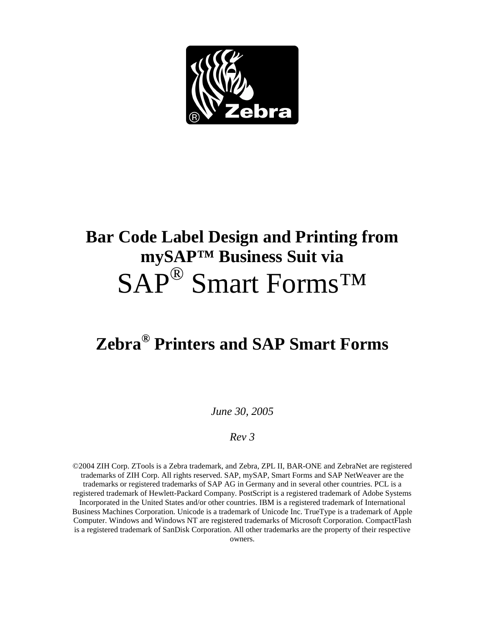

# **Bar Code Label Design and Printing from mySAP™ Business Suit via**  SAP® Smart Forms™

# **Zebra® Printers and SAP Smart Forms**

*June 30, 2005* 

#### *Rev 3*

©2004 ZIH Corp. ZTools is a Zebra trademark, and Zebra, ZPL II, BAR-ONE and ZebraNet are registered trademarks of ZIH Corp. All rights reserved. SAP, mySAP, Smart Forms and SAP NetWeaver are the trademarks or registered trademarks of SAP AG in Germany and in several other countries. PCL is a registered trademark of Hewlett-Packard Company. PostScript is a registered trademark of Adobe Systems Incorporated in the United States and/or other countries. IBM is a registered trademark of International Business Machines Corporation. Unicode is a trademark of Unicode Inc. TrueType is a trademark of Apple Computer. Windows and Windows NT are registered trademarks of Microsoft Corporation. CompactFlash is a registered trademark of SanDisk Corporation. All other trademarks are the property of their respective owners.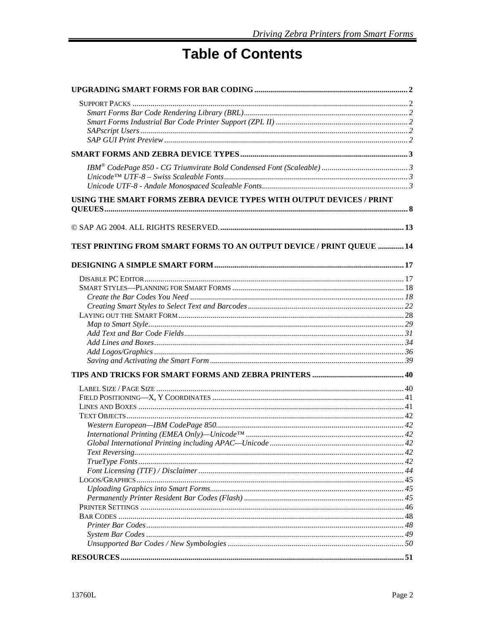# **Table of Contents**

| USING THE SMART FORMS ZEBRA DEVICE TYPES WITH OUTPUT DEVICES / PRINT |  |
|----------------------------------------------------------------------|--|
|                                                                      |  |
| TEST PRINTING FROM SMART FORMS TO AN OUTPUT DEVICE / PRINT QUEUE  14 |  |
|                                                                      |  |
|                                                                      |  |
|                                                                      |  |
|                                                                      |  |
|                                                                      |  |
|                                                                      |  |
|                                                                      |  |
|                                                                      |  |
|                                                                      |  |
|                                                                      |  |
|                                                                      |  |
|                                                                      |  |
|                                                                      |  |
|                                                                      |  |
|                                                                      |  |
|                                                                      |  |
|                                                                      |  |
|                                                                      |  |
|                                                                      |  |
|                                                                      |  |
|                                                                      |  |
|                                                                      |  |
|                                                                      |  |
|                                                                      |  |
|                                                                      |  |
|                                                                      |  |
|                                                                      |  |
|                                                                      |  |
|                                                                      |  |
|                                                                      |  |
|                                                                      |  |
|                                                                      |  |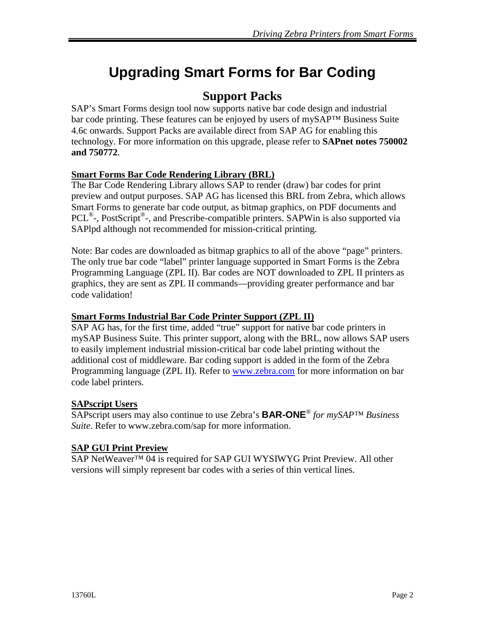# **Upgrading Smart Forms for Bar Coding**

### **Support Packs**

SAP's Smart Forms design tool now supports native bar code design and industrial bar code printing. These features can be enjoyed by users of mySAP™ Business Suite 4.6c onwards. Support Packs are available direct from SAP AG for enabling this technology. For more information on this upgrade, please refer to **SAPnet notes 750002 and 750772**.

#### **Smart Forms Bar Code Rendering Library (BRL)**

The Bar Code Rendering Library allows SAP to render (draw) bar codes for print preview and output purposes. SAP AG has licensed this BRL from Zebra, which allows Smart Forms to generate bar code output, as bitmap graphics, on PDF documents and PCL<sup>®</sup>-, PostScript<sup>®</sup>-, and Prescribe-compatible printers. SAPWin is also supported via SAPlpd although not recommended for mission-critical printing.

Note: Bar codes are downloaded as bitmap graphics to all of the above "page" printers. The only true bar code "label" printer language supported in Smart Forms is the Zebra Programming Language (ZPL II). Bar codes are NOT downloaded to ZPL II printers as graphics, they are sent as ZPL II commands—providing greater performance and bar code validation!

#### **Smart Forms Industrial Bar Code Printer Support (ZPL II)**

SAP AG has, for the first time, added "true" support for native bar code printers in mySAP Business Suite. This printer support, along with the BRL, now allows SAP users to easily implement industrial mission-critical bar code label printing without the additional cost of middleware. Bar coding support is added in the form of the Zebra Programming language (ZPL II). Refer to www.zebra.com for more information on bar code label printers.

#### **SAPscript Users**

SAPscript users may also continue to use Zebra's **BAR-ONE**® *for mySAP™ Business Suite*. Refer to www.zebra.com/sap for more information.

#### **SAP GUI Print Preview**

SAP NetWeaver<sup>™</sup> 04 is required for SAP GUI WYSIWYG Print Preview. All other versions will simply represent bar codes with a series of thin vertical lines.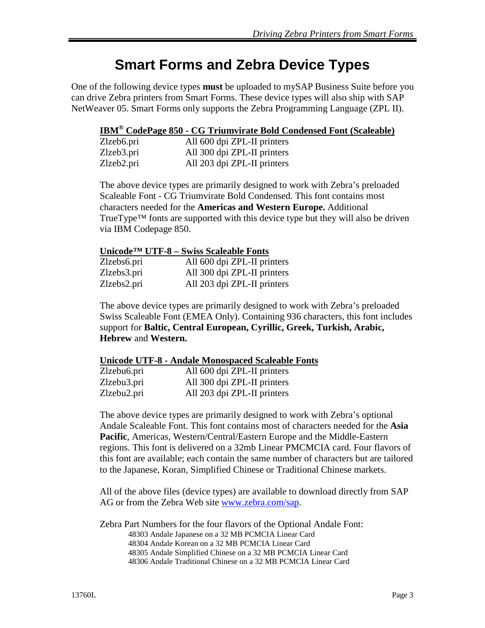# **Smart Forms and Zebra Device Types**

One of the following device types **must** be uploaded to mySAP Business Suite before you can drive Zebra printers from Smart Forms. These device types will also ship with SAP NetWeaver 05. Smart Forms only supports the Zebra Programming Language (ZPL II).

#### **IBM® CodePage 850 - CG Triumvirate Bold Condensed Font (Scaleable)**

| Zlzeb6.pri | All 600 dpi ZPL-II printers |
|------------|-----------------------------|
| Zlzeb3.pri | All 300 dpi ZPL-II printers |
| Zlzeb2.pri | All 203 dpi ZPL-II printers |

The above device types are primarily designed to work with Zebra's preloaded Scaleable Font - CG Triumvirate Bold Condensed. This font contains most characters needed for the **Americas and Western Europe.** Additional TrueType<sup>TM</sup> fonts are supported with this device type but they will also be driven via IBM Codepage 850.

#### **Unicode™ UTF-8 – Swiss Scaleable Fonts**

| Zlzebs6.pri | All 600 dpi ZPL-II printers |
|-------------|-----------------------------|
| Zlzebs3.pri | All 300 dpi ZPL-II printers |
| Zlzebs2.pri | All 203 dpi ZPL-II printers |

The above device types are primarily designed to work with Zebra's preloaded Swiss Scaleable Font (EMEA Only). Containing 936 characters, this font includes support for **Baltic, Central European, Cyrillic, Greek, Turkish, Arabic, Hebrew** and **Western.**

#### **Unicode UTF-8 - Andale Monospaced Scaleable Fonts**

| Zlzebu6.pri | All 600 dpi ZPL-II printers |
|-------------|-----------------------------|
| Zlzebu3.pri | All 300 dpi ZPL-II printers |
| Zlzebu2.pri | All 203 dpi ZPL-II printers |

The above device types are primarily designed to work with Zebra's optional Andale Scaleable Font. This font contains most of characters needed for the **Asia Pacific**, Americas, Western/Central/Eastern Europe and the Middle-Eastern regions. This font is delivered on a 32mb Linear PMCMCIA card. Four flavors of this font are available; each contain the same number of characters but are tailored to the Japanese, Koran, Simplified Chinese or Traditional Chinese markets.

All of the above files (device types) are available to download directly from SAP AG or from the Zebra Web site www.zebra.com/sap.

Zebra Part Numbers for the four flavors of the Optional Andale Font: 48303 Andale Japanese on a 32 MB PCMCIA Linear Card 48304 Andale Korean on a 32 MB PCMCIA Linear Card 48305 Andale Simplified Chinese on a 32 MB PCMCIA Linear Card 48306 Andale Traditional Chinese on a 32 MB PCMCIA Linear Card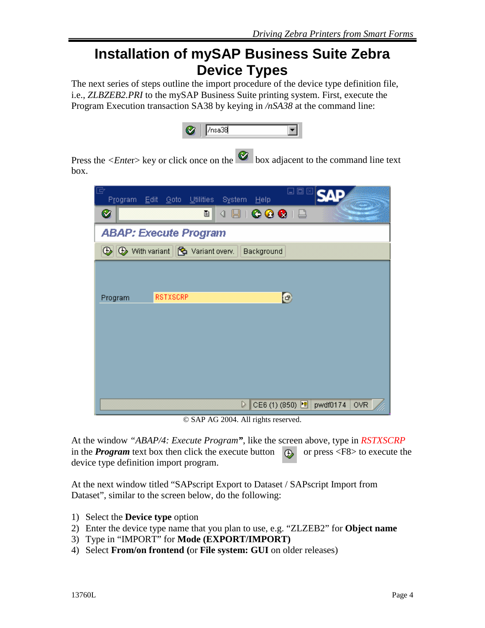## **Installation of mySAP Business Suite Zebra Device Types**

The next series of steps outline the import procedure of the device type definition file, i.e., *ZLBZEB2.PRI* to the mySAP Business Suite printing system. First, execute the Program Execution transaction SA38 by keying in */nSA38* at the command line:

Press the  $\langle$ *Enter*> key or click once on the  $\otimes$  box adjacent to the command line text box.

| 'E<br>回<br>$\Box$<br>∴ <u>E</u> dit<br>System<br>Goto<br>Utilities<br>Program<br>Help |
|---------------------------------------------------------------------------------------|
| $\blacksquare$   $\bigcirc$ $\bigcirc$ $\bigcirc$   $\bigcirc$<br>Ø<br>画<br>◁         |
| <b>ABAP: Execute Program</b>                                                          |
| <b>①</b> ① With variant   <mark>©</mark> Variant overv.<br>Background                 |
|                                                                                       |
|                                                                                       |
| O<br><b>RSTXSCRP</b><br>Program                                                       |
|                                                                                       |
|                                                                                       |
|                                                                                       |
|                                                                                       |
|                                                                                       |
| $\triangleright$<br>CE6 (1) (850) [<br>pwdf0174<br><b>OVR</b>                         |

© SAP AG 2004. All rights reserved.

At the window *"ABAP/4: Execute Program"*, like the screen above, type in *RSTXSCRP* in the **Program** text box then click the execute button  $\Box$  or press <F8> to execute the device type definition import program.

At the next window titled "SAPscript Export to Dataset / SAPscript Import from Dataset", similar to the screen below, do the following:

- 1) Select the **Device type** option
- 2) Enter the device type name that you plan to use, e.g. "ZLZEB2" for **Object name**
- 3) Type in "IMPORT" for **Mode (EXPORT/IMPORT)**
- 4) Select **From/on frontend (**or **File system: GUI** on older releases)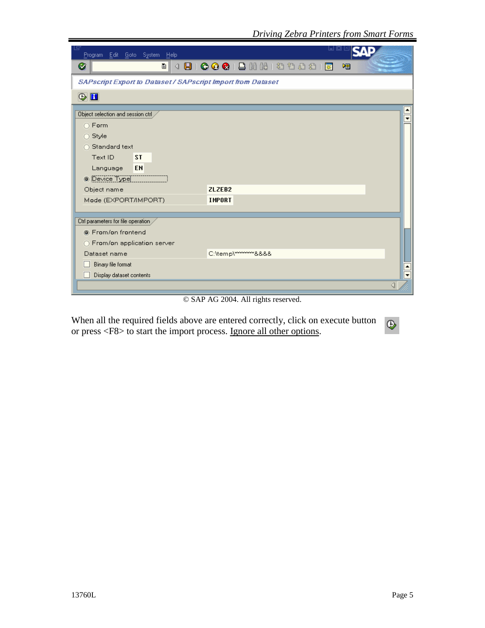| Program Edit Goto System Help                                      | ⊌⊔                     |
|--------------------------------------------------------------------|------------------------|
| Ø<br>圁<br>◁                                                        | 嗰                      |
| <b>SAPscript Export to Dataset / SAPscript Import from Dataset</b> |                        |
| $\circledcirc$ $\blacksquare$                                      |                        |
| Object selection and session ctrl                                  |                        |
| ○ Form                                                             |                        |
| $\bigcirc$ Style                                                   |                        |
| ◯ Standard text                                                    |                        |
| Text ID<br><b>ST</b>                                               |                        |
| EN<br>Language                                                     |                        |
| <b>O</b> Device Type                                               |                        |
| Object name                                                        | <b>ZLZEB2</b>          |
| Mode (EXPORT/IMPORT)                                               | <b>IMPORT</b>          |
|                                                                    |                        |
| Ctrl parameters for file operation                                 |                        |
| <sup>6</sup> From/on frontend                                      |                        |
| ○ From/on application server                                       |                        |
| Dataset name                                                       | C:\temp\~~~~~~~~~ &&&& |
| Binary file format                                                 |                        |
| Display dataset contents                                           |                        |
|                                                                    |                        |

© SAP AG 2004. All rights reserved.

When all the required fields above are entered correctly, click on execute button or press <F8> to start the import process. Ignore all other options.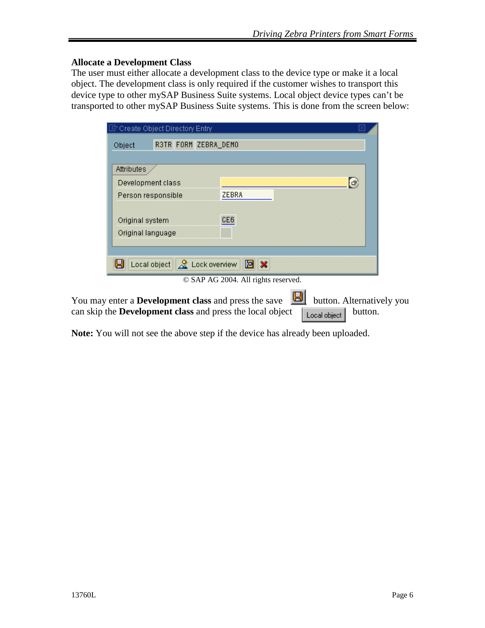#### **Allocate a Development Class**

The user must either allocate a development class to the device type or make it a local object. The development class is only required if the customer wishes to transport this device type to other mySAP Business Suite systems. Local object device types can't be transported to other mySAP Business Suite systems. This is done from the screen below:

| $\bar{\Xi}$ Create Object Directory Entry:                                                                                      |  |                                              |         |              | Ι×         |                           |
|---------------------------------------------------------------------------------------------------------------------------------|--|----------------------------------------------|---------|--------------|------------|---------------------------|
| Object                                                                                                                          |  | R3TR FORM ZEBRA_DEMO                         |         |              |            |                           |
|                                                                                                                                 |  |                                              |         |              |            |                           |
| Attributes                                                                                                                      |  |                                              |         |              |            |                           |
| Development class                                                                                                               |  |                                              |         |              | $\bigcirc$ |                           |
| Person responsible                                                                                                              |  | <b>ZEBRA</b>                                 |         |              |            |                           |
|                                                                                                                                 |  |                                              |         |              |            |                           |
| Original system                                                                                                                 |  | CE6                                          |         |              |            |                           |
| Original language                                                                                                               |  |                                              |         |              |            |                           |
|                                                                                                                                 |  |                                              |         |              |            |                           |
|                                                                                                                                 |  | Local object $\ \mathcal{R}\ $ Lock overview | 冏<br>18 |              |            |                           |
|                                                                                                                                 |  | © SAP AG 2004. All rights reserved.          |         |              |            |                           |
| You may enter a <b>Development class</b> and press the save<br>can skip the <b>Development class</b> and press the local object |  |                                              |         | Local object | button.    | button. Alternatively you |

**Note:** You will not see the above step if the device has already been uploaded.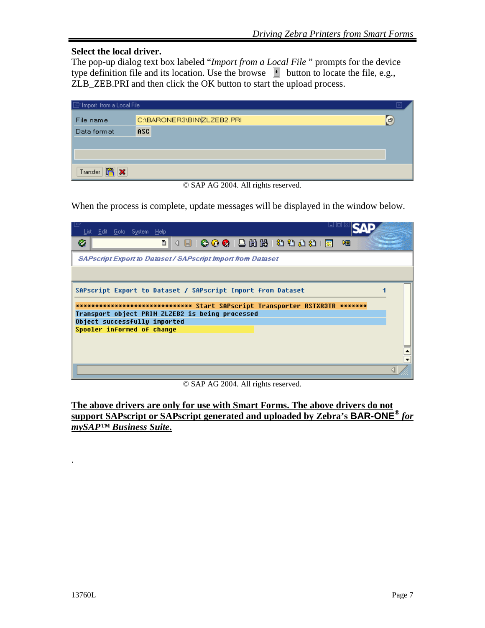#### **Select the local driver.**

The pop-up dialog text box labeled "*Import from a Local File* " prompts for the device type definition file and its location. Use the browse  $\mathbf{F}$  button to locate the file, e.g., ZLB\_ZEB.PRI and then click the OK button to start the upload process.

| $\boxed{\boxdot}$ Import from a Local File |                            |    |
|--------------------------------------------|----------------------------|----|
| File name                                  | C:\BARONER3\BIN\ZLZEB2.PRI | G) |
| Data format                                | <b>ASC</b>                 |    |
|                                            |                            |    |
|                                            |                            |    |
| Transfer   日 ×                             |                            |    |

© SAP AG 2004. All rights reserved.

When the process is complete, update messages will be displayed in the window below.

| List Edit Goto System Help                                                      |   |
|---------------------------------------------------------------------------------|---|
| 4日10001日尚尚1200818<br>Ø<br>圁                                                     | 嗰 |
| SAPscript Export to Dataset / SAPscript Import from Dataset                     |   |
|                                                                                 |   |
| SAPscript Export to Dataset / SAPscript Import from Dataset                     |   |
| ***************************** Start SAPscript Transporter RSTXR3TR *******      |   |
|                                                                                 |   |
| Transport object PRIN ZLZEB2 is being processed<br>Object successfully imported |   |
| Spooler informed of change                                                      |   |
|                                                                                 |   |
|                                                                                 |   |

© SAP AG 2004. All rights reserved.

**The above drivers are only for use with Smart Forms. The above drivers do not support SAPscript or SAPscript generated and uploaded by Zebra's BAR-ONE®** *for mySAP™ Business Suite***.**

.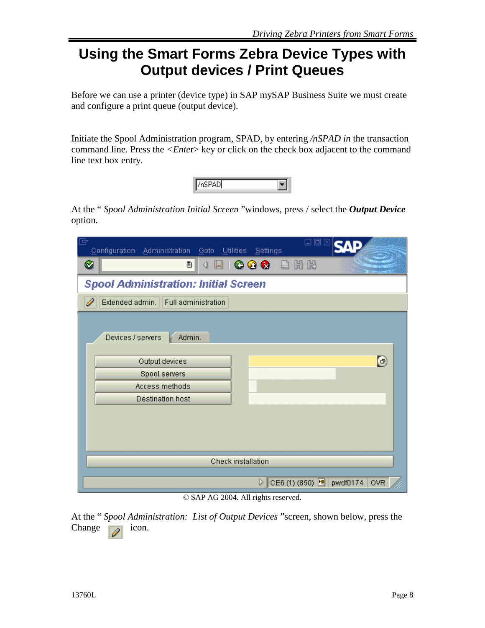# **Using the Smart Forms Zebra Device Types with Output devices / Print Queues**

Before we can use a printer (device type) in SAP mySAP Business Suite we must create and configure a print queue (output device).

Initiate the Spool Administration program, SPAD, by entering */nSPAD in* the transaction command line. Press the *<Enter>* key or click on the check box adjacent to the command line text box entry.

At the " *Spool Administration Initial Screen* "windows, press / select the *Output Device*  option.

| B<br>⊡<br>同<br>Configuration Administration Goto Utilities<br>8ettings             |
|------------------------------------------------------------------------------------|
| ◁ ▣   ✿ ✿ ✿   끝 # #<br>Ø<br>画                                                      |
| <b>Spool Administration: Initial Screen</b>                                        |
| Extended admin. Full administration                                                |
| Devices / servers<br>Admin.<br>$\bigcirc$<br>Output devices                        |
| Spool servers                                                                      |
| Access methods                                                                     |
| <b>Destination host</b>                                                            |
|                                                                                    |
| Check installation                                                                 |
| $\triangleright$<br>CE6 (1) (850) [<br>pwdf0174<br><b>OVR</b><br>0.010100001111111 |

© SAP AG 2004. All rights reserved.

At the " *Spool Administration: List of Output Devices* "screen, shown below, press the Change  $\Box$  icon.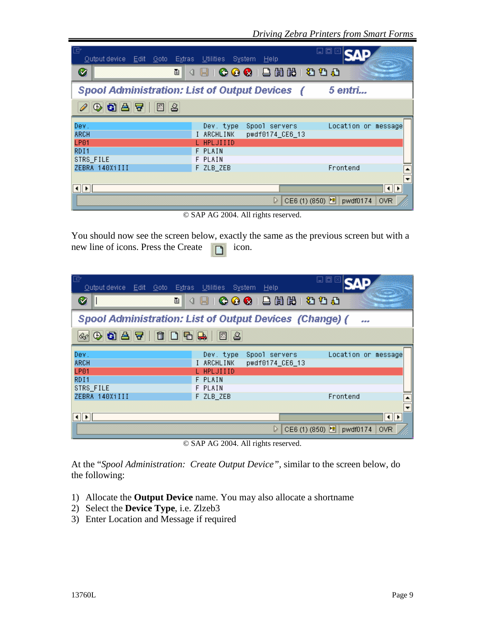| le<br>Output device Edit Goto Extras Utilities | – System<br><b>Help</b>                                     | 口回                                     |
|------------------------------------------------|-------------------------------------------------------------|----------------------------------------|
| Ø<br>面                                         | (BIC) C C C B B B B B D D                                   |                                        |
|                                                | <b>Spool Administration: List of Output Devices (</b>       | 5 entri                                |
| 200B7<br>圆台                                    |                                                             |                                        |
| Dev.<br><b>ARCH</b>                            | Dev. type<br>Spool servers<br>I ARCHLINK<br>pwdf0174 CE6 13 | Location or message                    |
| <b>LP01</b>                                    | L HPLJIIID                                                  |                                        |
| RD <sub>I1</sub><br>STRS_FILE                  | F PLAIN<br>F PLAIN                                          |                                        |
| ZEBRA 140XiIII                                 | F ZLB_ZEB                                                   | Frontend                               |
| $\vert \cdot \vert$ ).                         |                                                             | $   \cdot   $                          |
|                                                | D                                                           | CE6 (1) (850) E pwdf0174<br><b>OVR</b> |

© SAP AG 2004. All rights reserved.

You should now see the screen below, exactly the same as the previous screen but with a new line of icons. Press the Create  $\Box$  icon.

| le<br>Output device Edit Goto Extras Utilities System          |                          | Help            | 口回                                   |            |
|----------------------------------------------------------------|--------------------------|-----------------|--------------------------------------|------------|
| 面<br>Ø                                                         | ◁                        | 800080800       |                                      |            |
| <b>Spool Administration: List of Output Devices (Change) (</b> |                          |                 |                                      |            |
| $\circledcirc \bullet \bullet \bullet \bullet \bullet \bullet$ | 15 L                     |                 |                                      |            |
| Dev.<br><b>ARCH</b>                                            | Dev. type                | Spool servers   | Location or message                  |            |
| <b>LP01</b>                                                    | I ARCHLINK<br>L HPLJIIID | pwdf0174_CE6_13 |                                      |            |
| RD <sub>I1</sub><br>STRS FILE                                  | F PLAIN<br>F PLAIN       |                 |                                      |            |
| ZEBRA 140XiIII                                                 | F ZLB_ZEB                |                 | Frontend                             |            |
| $   \cdot   $                                                  |                          |                 |                                      | It⊪⊳       |
|                                                                |                          | D               | CE6 (1) (850) <sup>•■</sup> pwdf0174 | <b>OVR</b> |

© SAP AG 2004. All rights reserved.

At the "*Spool Administration: Create Output Device",* similar to the screen below, do the following:

- 1) Allocate the **Output Device** name. You may also allocate a shortname
- 2) Select the **Device Type**, i.e. Zlzeb3
- 3) Enter Location and Message if required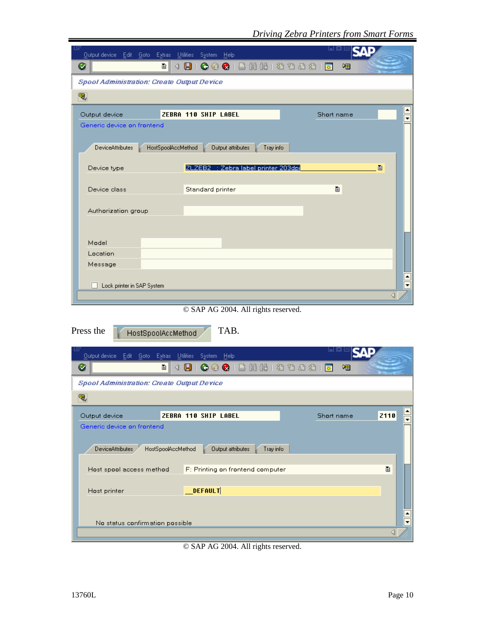| Output device Edit Goto<br>Extras                 | <b>Utilities</b><br><b>System</b><br>– Help          | ᆸ @ M                     |                          |
|---------------------------------------------------|------------------------------------------------------|---------------------------|--------------------------|
| Ø<br>圁                                            | 4 B                                                  | 咽                         |                          |
| <b>Spool Administration: Create Output Device</b> |                                                      |                           |                          |
| ₹,                                                |                                                      |                           |                          |
|                                                   |                                                      |                           |                          |
| Output device                                     | ZEBRA 110 SHIP LABEL                                 | Short name                | $\overline{\phantom{a}}$ |
| Generic device on frontend                        |                                                      |                           |                          |
| DeviceAttributes                                  | Tray info<br>HostSpoolAccMethod<br>Output attributes |                           |                          |
|                                                   |                                                      |                           |                          |
| Device type                                       | ZLZEB2 : Zebra label printer 203dpi                  | 圁                         |                          |
|                                                   |                                                      |                           |                          |
| Device class                                      | Standard printer                                     | 圁                         |                          |
| Authorization group                               |                                                      |                           |                          |
|                                                   |                                                      |                           |                          |
|                                                   |                                                      |                           |                          |
| Model                                             |                                                      |                           |                          |
| Location                                          |                                                      |                           |                          |
| Message                                           |                                                      |                           |                          |
|                                                   |                                                      |                           |                          |
|                                                   |                                                      |                           |                          |
| Lock printer in SAP System                        |                                                      |                           | $\overline{\phantom{0}}$ |
|                                                   |                                                      |                           |                          |
|                                                   | © SAP AG 2004. All rights reserved.                  |                           |                          |
|                                                   | TAB.                                                 |                           |                          |
| HostSpoolAccMethod                                |                                                      |                           |                          |
| Output device Edit Goto Extras                    | Utilities<br>System<br>He                            | UU                        |                          |
| Ø<br>画                                            | 4 B<br>$Q \odot Q \odot$<br>間間                       | むむむむ<br>啯<br> 業           |                          |
| <b>Spool Administration: Create Output Device</b> |                                                      |                           |                          |
|                                                   |                                                      |                           |                          |
| q,                                                |                                                      |                           |                          |
| Output device                                     | <b>ZEBRA 110 SHIP LABEL</b>                          | <b>Z110</b><br>Short name |                          |
| Generic device on frontend                        |                                                      |                           |                          |
| <b>DeviceAttributes</b>                           |                                                      |                           |                          |
|                                                   | HostSpoolAccMethod<br>Output attributes<br>Tray info |                           |                          |
| Host spool access method                          | F: Printing on frontend computer                     | ū.                        |                          |
|                                                   |                                                      |                           |                          |
| Press the<br>Host printer                         | <b>DEFAULT</b>                                       |                           |                          |
|                                                   |                                                      |                           |                          |
| No status confirmation possible                   |                                                      |                           |                          |

© SAP AG 2004. All rights reserved.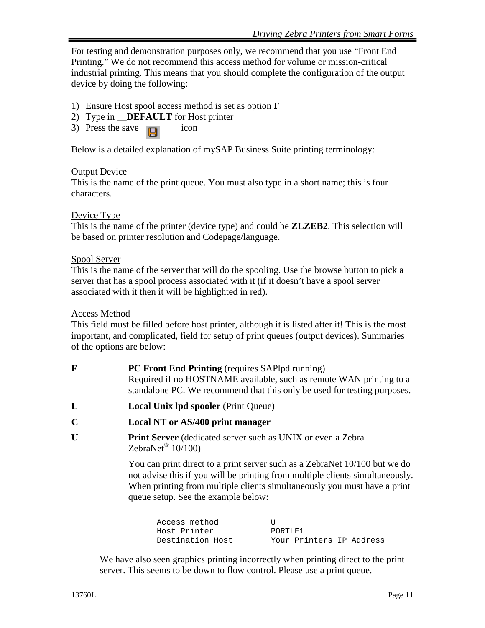For testing and demonstration purposes only, we recommend that you use "Front End Printing." We do not recommend this access method for volume or mission-critical industrial printing. This means that you should complete the configuration of the output device by doing the following:

- 1) Ensure Host spool access method is set as option **F**
- 2) Type in **\_\_DEFAULT** for Host printer
- 3) Press the save  $\Box$  icon

Below is a detailed explanation of mySAP Business Suite printing terminology:

#### Output Device

This is the name of the print queue. You must also type in a short name; this is four characters.

#### Device Type

This is the name of the printer (device type) and could be **ZLZEB2**. This selection will be based on printer resolution and Codepage/language.

#### Spool Server

This is the name of the server that will do the spooling. Use the browse button to pick a server that has a spool process associated with it (if it doesn't have a spool server associated with it then it will be highlighted in red).

#### Access Method

This field must be filled before host printer, although it is listed after it! This is the most important, and complicated, field for setup of print queues (output devices). Summaries of the options are below:

| F           | <b>PC Front End Printing</b> (requires SAPIpd running)<br>Required if no HOSTNAME available, such as remote WAN printing to a<br>standalone PC. We recommend that this only be used for testing purposes.                               |
|-------------|-----------------------------------------------------------------------------------------------------------------------------------------------------------------------------------------------------------------------------------------|
| L           | <b>Local Unix lpd spooler</b> (Print Queue)                                                                                                                                                                                             |
| $\mathbf C$ | Local NT or AS/400 print manager                                                                                                                                                                                                        |
| U           | <b>Print Server</b> (dedicated server such as UNIX or even a Zebra<br>ZebraNet <sup>®</sup> $10/100$                                                                                                                                    |
|             | You can print direct to a print server such as a ZebraNet 10/100 but we do<br>not advise this if you will be printing from multiple clients simultaneously.<br>When printing from multiple clients simultaneously you must have a print |

queue setup. See the example below:

Access method U Host Printer **PORTLF1** Destination Host Your Printers IP Address

We have also seen graphics printing incorrectly when printing direct to the print server. This seems to be down to flow control. Please use a print queue.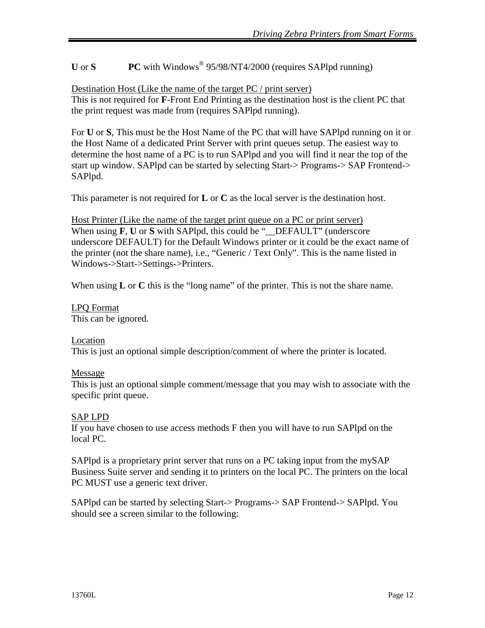**U** or **S PC** with Windows® 95/98/NT4/2000 (requires SAPlpd running)

Destination Host (Like the name of the target PC / print server) This is not required for **F**-Front End Printing as the destination host is the client PC that the print request was made from (requires SAPlpd running).

For **U** or **S**, This must be the Host Name of the PC that will have SAPlpd running on it or the Host Name of a dedicated Print Server with print queues setup. The easiest way to determine the host name of a PC is to run SAPlpd and you will find it near the top of the start up window. SAPlpd can be started by selecting Start-> Programs-> SAP Frontend-> SAPlpd.

This parameter is not required for **L** or **C** as the local server is the destination host.

Host Printer (Like the name of the target print queue on a PC or print server) When using **F**, **U** or **S** with SAPlpd, this could be "\_\_DEFAULT" (underscore underscore DEFAULT) for the Default Windows printer or it could be the exact name of the printer (not the share name), i.e., "Generic / Text Only". This is the name listed in Windows->Start->Settings->Printers.

When using **L** or **C** this is the "long name" of the printer. This is not the share name.

LPQ Format This can be ignored.

#### Location

This is just an optional simple description/comment of where the printer is located.

#### Message

This is just an optional simple comment/message that you may wish to associate with the specific print queue.

#### SAP LPD

If you have chosen to use access methods F then you will have to run SAPlpd on the local PC.

SAPlpd is a proprietary print server that runs on a PC taking input from the mySAP Business Suite server and sending it to printers on the local PC. The printers on the local PC MUST use a generic text driver.

SAPlpd can be started by selecting Start-> Programs-> SAP Frontend-> SAPlpd. You should see a screen similar to the following: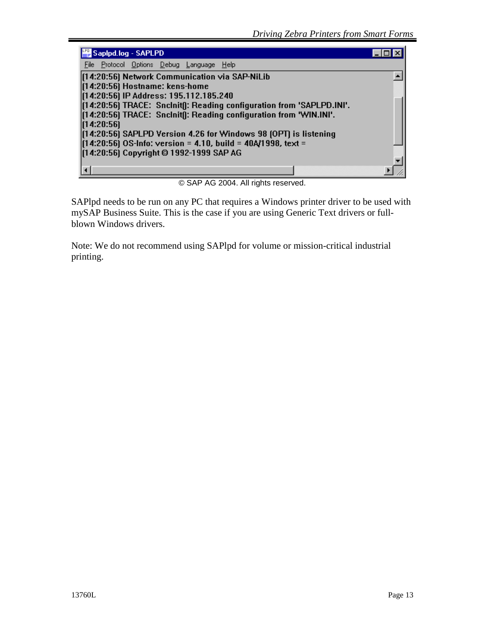| Sapipd.log - SAPLPD                                                    |  |
|------------------------------------------------------------------------|--|
| Protocol Options Debug Language Help<br>File                           |  |
| [14:20:56] Network Communication via SAP-NiLib                         |  |
| [14:20:56] Hostname: kens-home                                         |  |
| [14:20:56] IP Address: 195.112.185.240                                 |  |
| [[14:20:56] TRACE: SncInit[]: Reading configuration from 'SAPLPD.INI'. |  |
| [[14:20:56] TRACE: SncInit[]: Reading configuration from 'WIN.INI'.    |  |
| [14:20:56]                                                             |  |
| [[14:20:56] SAPLPD Version 4.26 for Windows 98 [OPT] is listening      |  |
| $(14:20:56)$ OS-Info: version = 4.10, build = 40A/1998, text =         |  |
| [14:20:56] Copyright @ 1992-1999 SAP AG                                |  |
|                                                                        |  |
|                                                                        |  |

© SAP AG 2004. All rights reserved.

SAPlpd needs to be run on any PC that requires a Windows printer driver to be used with mySAP Business Suite. This is the case if you are using Generic Text drivers or fullblown Windows drivers.

Note: We do not recommend using SAPlpd for volume or mission-critical industrial printing.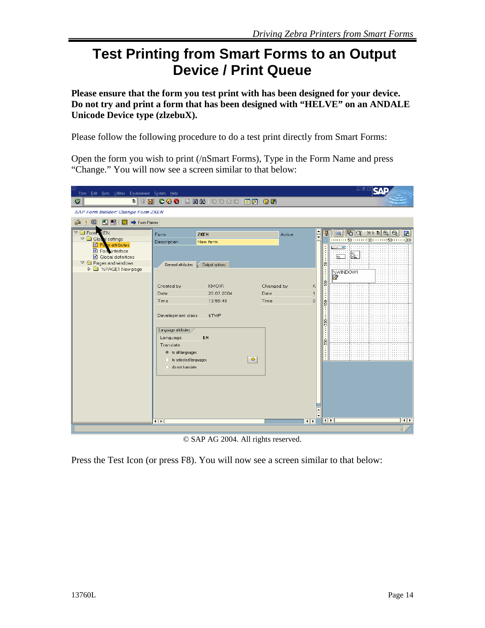# **Test Printing from Smart Forms to an Output Device / Print Queue**

**Please ensure that the form you test print with has been designed for your device. Do not try and print a form that has been designed with "HELVE" on an ANDALE Unicode Device type (zlzebuX).** 

Please follow the following procedure to do a test print directly from Smart Forms:

Open the form you wish to print (/nSmart Forms), Type in the Form Name and press "Change." You will now see a screen similar to that below:

| Form Edit Goto Utilities Environment System Help                                                                                                                                            |                                                                                                                                                                                                                                                                                                                  |                                                              |                                                                                            | 口國                                                                                                                                                                                                                                           |
|---------------------------------------------------------------------------------------------------------------------------------------------------------------------------------------------|------------------------------------------------------------------------------------------------------------------------------------------------------------------------------------------------------------------------------------------------------------------------------------------------------------------|--------------------------------------------------------------|--------------------------------------------------------------------------------------------|----------------------------------------------------------------------------------------------------------------------------------------------------------------------------------------------------------------------------------------------|
| $\bullet$<br>O II                                                                                                                                                                           | 4 8 6 6 6 8 8 8 8 9 9 9 8 8 8 9 8 8                                                                                                                                                                                                                                                                              |                                                              |                                                                                            |                                                                                                                                                                                                                                              |
| <b>SAP Form Builder: Change Form ZKEN</b>                                                                                                                                                   |                                                                                                                                                                                                                                                                                                                  |                                                              |                                                                                            |                                                                                                                                                                                                                                              |
| 6 米国 円 吊 图 → Form Painter                                                                                                                                                                   |                                                                                                                                                                                                                                                                                                                  |                                                              |                                                                                            |                                                                                                                                                                                                                                              |
| <b>Example Forms KEN</b><br>$\nabla$ $\Box$ Global settings<br>Form attributes<br>Form interface<br>Global definitions<br>$\nabla$ $\bigodot$ Pages and windows<br><b>D</b> SPAGE1 New page | ZKEN<br>Form<br>Description<br>New form<br>General attributes<br>Output options<br>Created by<br><b>KMOIR</b><br>20.07.2004<br>Date<br>13:55:49<br>Time<br>Development class<br>\$TMP<br>Language attributes<br>EN<br>Language<br>Translate<br>to all languages<br>◯ to selected languages<br>o do not translate | Active<br>Changed by<br><b>Date</b><br>Time<br>$\Rightarrow$ | $\frac{1}{\overline{1}}$<br>星<br>$\frac{1}{2}$<br>S<br>политерного<br>κ<br>$\Omega$<br>259 | $\left \mathbf{G}\right \left(\mathbf{Q}\right)$ 39% a $\left \mathbf{Q}\right $ $\left \mathbf{Q}\right $<br>$\blacksquare$<br>韬<br>111111111501111111110011111111501111111200<br>$00$ XT.<br>$\frac{2}{\ln 2}$<br>1% t<br><b>EXWINDOWT</b> |
|                                                                                                                                                                                             | $\overline{\bullet}$                                                                                                                                                                                                                                                                                             |                                                              | $\left  \cdot \right $<br>$\left  \cdot \right $                                           | $\overline{\bullet}$                                                                                                                                                                                                                         |
|                                                                                                                                                                                             |                                                                                                                                                                                                                                                                                                                  |                                                              |                                                                                            | $\left  \right $                                                                                                                                                                                                                             |

© SAP AG 2004. All rights reserved.

Press the Test Icon (or press F8). You will now see a screen similar to that below: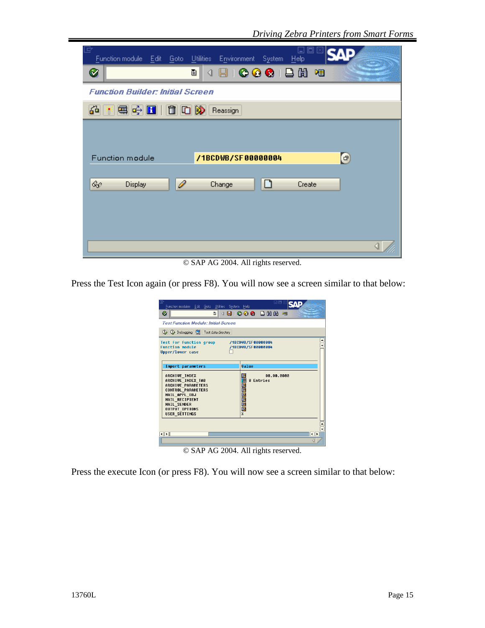| L<br>o<br>$\vert$ $\vert$<br>Utilities<br>Function module Edit<br>- Goto<br>Environment<br><b>System</b><br>- Help |
|--------------------------------------------------------------------------------------------------------------------|
| ICOQIBH 18<br>ū<br>Ø<br>◁<br>Н                                                                                     |
| <b>Function Builder: Initial Screen</b>                                                                            |
| 米每多日100秒<br>64.<br>Reassign                                                                                        |
|                                                                                                                    |
|                                                                                                                    |
| $\bigcirc$<br>/1BCDWB/SF00000004<br>Function module                                                                |
| ୡଡ଼<br>I<br><b>Display</b><br>Change<br>Create<br>$\blacksquare$                                                   |
|                                                                                                                    |
|                                                                                                                    |
|                                                                                                                    |
|                                                                                                                    |

© SAP AG 2004. All rights reserved.

Press the Test Icon again (or press F8). You will now see a screen similar to that below:

| 巵<br>Function modules Edit Goto Utilities System Help                                                                                                                                           | 日回区                                                        |
|-------------------------------------------------------------------------------------------------------------------------------------------------------------------------------------------------|------------------------------------------------------------|
| Ø<br>ū<br>◁                                                                                                                                                                                     | $\Box$ $\odot$ $\odot$ $\odot$ $\Box$ $\Box$ $\Box$ $\Box$ |
| <b>Test Function Module: Initial Screen</b>                                                                                                                                                     |                                                            |
| <b>4 4</b> Debugging <b>C</b> Test data directory                                                                                                                                               |                                                            |
| <b>Test for function group</b><br><b>Function module</b><br><b>Upper/lower case</b>                                                                                                             | /1BCDWB/SF00000004<br>/1BCDWB/SF00000004                   |
| Import parameters                                                                                                                                                                               | <b>Value</b>                                               |
| <b>ARCHIVE INDEX</b><br>ARCHIVE INDEX TAB<br><b>ARCHIVE PARAMETERS</b><br><b>CONTROL PARAMETERS</b><br>MAIL APPL OBJ<br>MAIL RECIPIENT<br>MAIL SENDER<br>OUTPUT OPTIONS<br><b>USER SETTINGS</b> | 88.88.8888<br><b>0 Entries</b><br>× <b>මෙන් නිමාන්</b> ×   |
|                                                                                                                                                                                                 |                                                            |
| $\left\vert \cdot\right\vert$                                                                                                                                                                   | $\left\Vert \cdot\right\Vert$ )                            |

© SAP AG 2004. All rights reserved.

Press the execute Icon (or press F8). You will now see a screen similar to that below: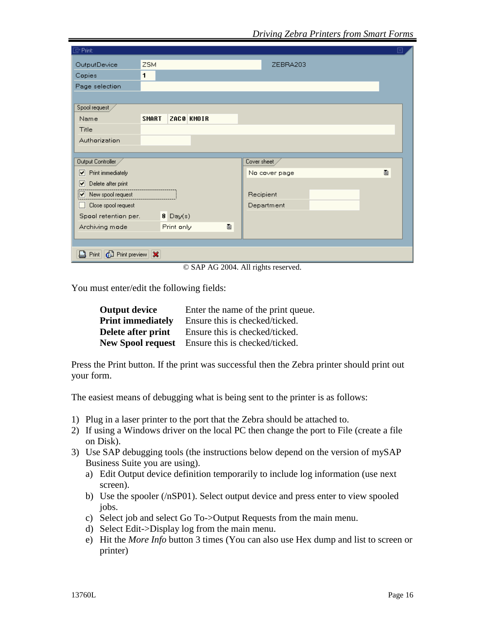| $\mathbb{F}$ Print:                        |              |            |    |               |   |
|--------------------------------------------|--------------|------------|----|---------------|---|
| OutputDevice                               | <b>ZSM</b>   |            |    | ZEBRA203      |   |
| Copies                                     | 1            |            |    |               |   |
| Page selection                             |              |            |    |               |   |
|                                            |              |            |    |               |   |
| Spool request                              |              |            |    |               |   |
| Name                                       | <b>SMART</b> | ZACO KMOIR |    |               |   |
| Title                                      |              |            |    |               |   |
| Authorization                              |              |            |    |               |   |
|                                            |              |            |    |               |   |
| Output Controller                          |              |            |    | Cover sheet   |   |
| Print immediately<br>$\blacktriangleright$ |              |            |    | No cover page | Ò |
| ▼<br>Delete after print                    |              |            |    |               |   |
| $\sqrt{\phantom{a}}$ New spool request     |              |            |    | Recipient     |   |
| Close spool request<br>U                   |              |            |    | Department    |   |
| Spool retention per.                       |              | $8$ Day(s) |    |               |   |
| Archiving mode                             |              | Print only | ē. |               |   |
|                                            |              |            |    |               |   |
|                                            |              |            |    |               |   |
| Print   <b>6</b> Print preview   <b>X</b>  |              |            |    |               |   |

© SAP AG 2004. All rights reserved.

You must enter/edit the following fields:

| <b>Output device</b>     | Enter the name of the print queue. |
|--------------------------|------------------------------------|
| <b>Print immediately</b> | Ensure this is checked/ticked.     |
| Delete after print       | Ensure this is checked/ticked.     |
| <b>New Spool request</b> | Ensure this is checked/ticked.     |

Press the Print button. If the print was successful then the Zebra printer should print out your form.

The easiest means of debugging what is being sent to the printer is as follows:

- 1) Plug in a laser printer to the port that the Zebra should be attached to.
- 2) If using a Windows driver on the local PC then change the port to File (create a file on Disk).
- 3) Use SAP debugging tools (the instructions below depend on the version of mySAP Business Suite you are using).
	- a) Edit Output device definition temporarily to include log information (use next screen).
	- b) Use the spooler (/nSP01). Select output device and press enter to view spooled jobs.
	- c) Select job and select Go To->Output Requests from the main menu.
	- d) Select Edit->Display log from the main menu.
	- e) Hit the *More Info* button 3 times (You can also use Hex dump and list to screen or printer)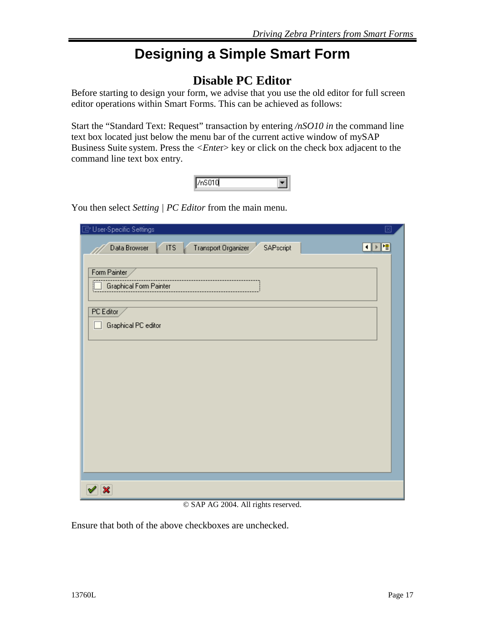# **Designing a Simple Smart Form**

### **Disable PC Editor**

Before starting to design your form, we advise that you use the old editor for full screen editor operations within Smart Forms. This can be achieved as follows:

Start the "Standard Text: Request" transaction by entering */nSO10 in* the command line text box located just below the menu bar of the current active window of mySAP Business Suite system. Press the *<Ente*r> key or click on the check box adjacent to the command line text box entry.

You then select *Setting | PC Editor* from the main menu.

| User-Specific Settings                                         | ⊠              |
|----------------------------------------------------------------|----------------|
| <b>ITS</b><br>SAPscript<br>Transport Organizer<br>Data Browser | $\blacksquare$ |
| Form Painter<br>Graphical Form Painter                         |                |
| PC Editor                                                      |                |
| Graphical PC editor<br>. .                                     |                |
|                                                                |                |
|                                                                |                |
|                                                                |                |
|                                                                |                |
|                                                                |                |
| ×                                                              |                |

© SAP AG 2004. All rights reserved.

Ensure that both of the above checkboxes are unchecked.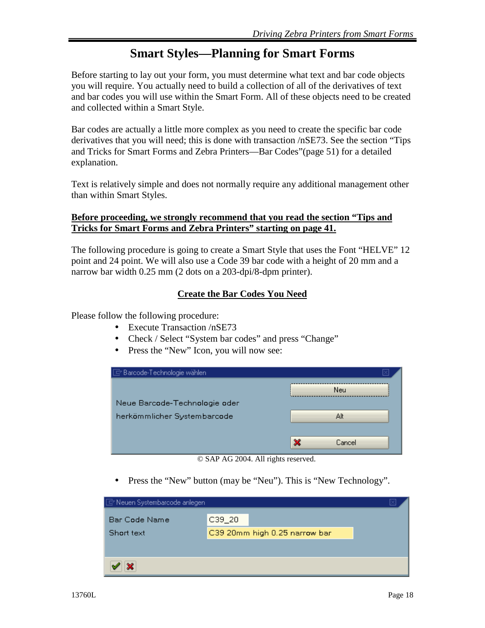### **Smart Styles—Planning for Smart Forms**

Before starting to lay out your form, you must determine what text and bar code objects you will require. You actually need to build a collection of all of the derivatives of text and bar codes you will use within the Smart Form. All of these objects need to be created and collected within a Smart Style.

Bar codes are actually a little more complex as you need to create the specific bar code derivatives that you will need; this is done with transaction /nSE73. See the section "Tips and Tricks for Smart Forms and Zebra Printers—Bar Codes"(page 51) for a detailed explanation.

Text is relatively simple and does not normally require any additional management other than within Smart Styles.

#### **Before proceeding, we strongly recommend that you read the section "Tips and Tricks for Smart Forms and Zebra Printers" starting on page 41.**

The following procedure is going to create a Smart Style that uses the Font "HELVE" 12 point and 24 point. We will also use a Code 39 bar code with a height of 20 mm and a narrow bar width 0.25 mm (2 dots on a 203-dpi/8-dpm printer).

#### **Create the Bar Codes You Need**

Please follow the following procedure:

- Execute Transaction /nSE73
- Check / Select "System bar codes" and press "Change"
- Press the "New" Icon, you will now see:

| $\Box$ Barcode-Technologie wählen |             |
|-----------------------------------|-------------|
|                                   | <b>Neu</b>  |
| Neue Barcode-Technologie oder     |             |
| herkömmlicher Systembarcode       | Alt         |
|                                   |             |
|                                   | ×<br>Cancel |

© SAP AG 2004. All rights reserved.

• Press the "New" button (may be "Neu"). This is "New Technology".

| Neuen Systembarcode anlegen |          |                               |  |
|-----------------------------|----------|-------------------------------|--|
| Bar Code Name               | $C39-20$ |                               |  |
| Short text                  |          | C39 20mm high 0.25 narrow bar |  |
|                             |          |                               |  |
|                             |          |                               |  |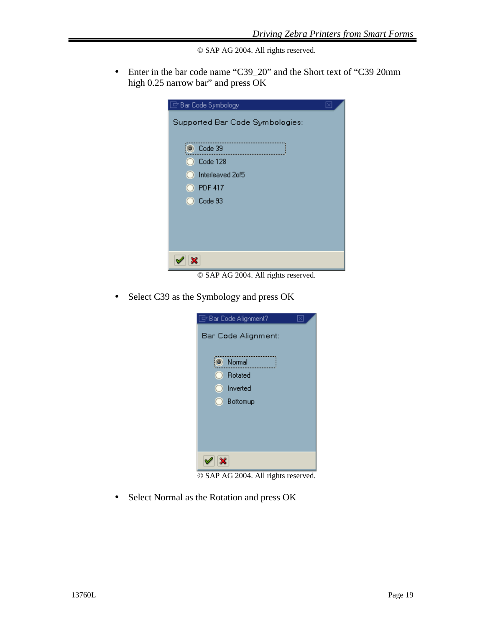© SAP AG 2004. All rights reserved.

• Enter in the bar code name "C39\_20" and the Short text of "C39 20mm" high 0.25 narrow bar" and press OK

| $\overline{\boxdot}$ Bar Code Symbology |
|-----------------------------------------|
| Supported Bar Code Symbologies:         |
|                                         |
| Code 39                                 |
| $\bigcirc$ Code 128                     |
| nterleaved 2of5                         |
| $\bigcirc$ PDF 417                      |
| $\bigcirc$ Code 93                      |
|                                         |
|                                         |
|                                         |
|                                         |
|                                         |

© SAP AG 2004. All rights reserved.

• Select C39 as the Symbology and press OK



© SAP AG 2004. All rights reserved.

• Select Normal as the Rotation and press OK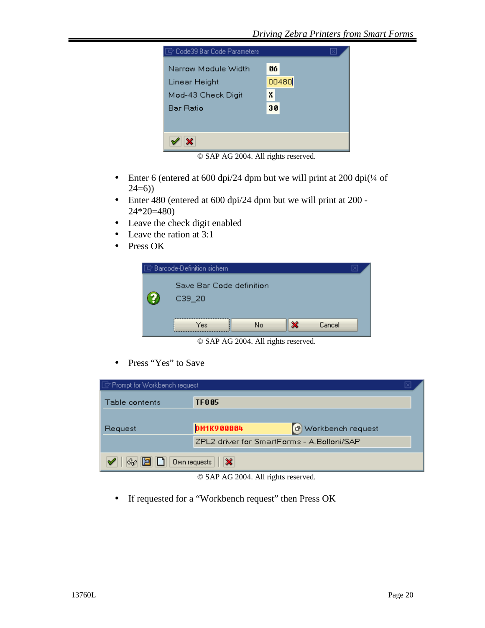

© SAP AG 2004. All rights reserved.

- Enter 6 (entered at 600 dpi/24 dpm but we will print at 200 dpi( $\frac{1}{4}$  of  $24=6)$ )
- Enter 480 (entered at 600 dpi/24 dpm but we will print at 200 24\*20=480)
- Leave the check digit enabled
- Leave the ration at 3:1
- Press OK

|    | $\Box$ Barcode-Definition sichern      |    |   |        |  |
|----|----------------------------------------|----|---|--------|--|
| 7. | Save Bar Code definition<br>$C39 - 20$ |    |   |        |  |
|    | Yes                                    | No | × | Cancel |  |

© SAP AG 2004. All rights reserved.

• Press "Yes" to Save

| □ Prompt for Workbench request      |                                            |                     |  |  |
|-------------------------------------|--------------------------------------------|---------------------|--|--|
| Table contents                      | <b>TF005</b>                               |                     |  |  |
| Request                             | <b>DM1K900004</b>                          | d Workbench request |  |  |
|                                     | ZPL2 driver for SmartForms - A.Bolloni/SAP |                     |  |  |
| $\frac{1}{2}$ D   0wn requests<br>× |                                            |                     |  |  |

© SAP AG 2004. All rights reserved.

• If requested for a "Workbench request" then Press OK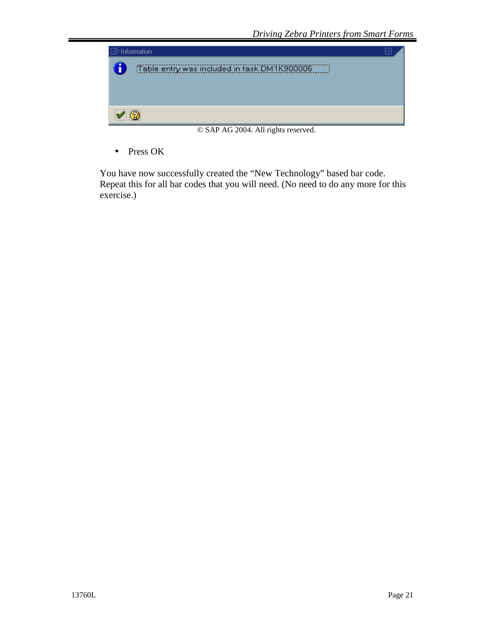

© SAP AG 2004. All rights reserved.

• Press OK

You have now successfully created the "New Technology" based bar code. Repeat this for all bar codes that you will need. (No need to do any more for this exercise.)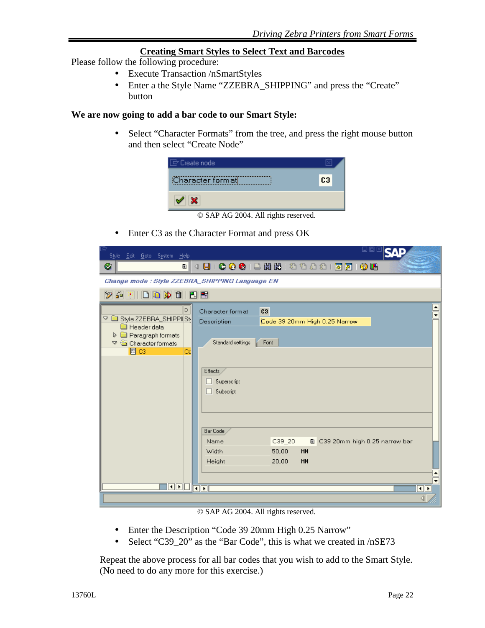#### **Creating Smart Styles to Select Text and Barcodes**

Please follow the following procedure:

- Execute Transaction /nSmartStyles
- Enter a the Style Name "ZZEBRA\_SHIPPING" and press the "Create" button

#### **We are now going to add a bar code to our Smart Style:**

• Select "Character Formats" from the tree, and press the right mouse button and then select "Create Node"

| $\mathcal{C}$ Create node           |                |  |
|-------------------------------------|----------------|--|
| Character formatl                   | C <sub>3</sub> |  |
| $\mathbf{x}$                        |                |  |
| © SAP AG 2004. All rights reserved. |                |  |

• Enter C3 as the Character Format and press OK

| Style Edit Goto System Help                                                                                                                       | 口回                                                                                                               |
|---------------------------------------------------------------------------------------------------------------------------------------------------|------------------------------------------------------------------------------------------------------------------|
| Ø<br>e I                                                                                                                                          | 4 B   C G C 1 B H H 1 2 D D 2 1 R 2 1 G H                                                                        |
| Change mode: Style ZZEBRA_SHIPPING Language EN                                                                                                    |                                                                                                                  |
| $\mathscr{D}$ - $\mathbb{R}$ $\mid$ $\Box$ - $\mathbb{R}$ $\mid$ $\Box$ - $\mathbb{R}$                                                            |                                                                                                                  |
| D.<br>D                                                                                                                                           | C3<br>Character format                                                                                           |
| Style ZZEBRA_SHIPPI(St<br><b>Ed</b> Header data<br><b>D a</b> Paragraph formats<br>$\triangledown$ $\blacksquare$ Character formats<br>圖 C3<br>Cc | Code 39 20mm High 0.25 Narrow<br>Description<br>Standard settings<br>Font<br>Effects<br>Superscript<br>Subscript |
|                                                                                                                                                   | Bar Code<br>C39_20<br>画<br>Name<br>C39 20mm high 0.25 narrow bar                                                 |
|                                                                                                                                                   | Width<br>50,00<br>MM<br>Height<br>20,00<br>MM                                                                    |
| <u>ada dadi</u>                                                                                                                                   | Π⊧                                                                                                               |
|                                                                                                                                                   |                                                                                                                  |

© SAP AG 2004. All rights reserved.

- Enter the Description "Code 39 20mm High 0.25 Narrow"
- Select "C39 20" as the "Bar Code", this is what we created in  $/nSE73$

Repeat the above process for all bar codes that you wish to add to the Smart Style. (No need to do any more for this exercise.)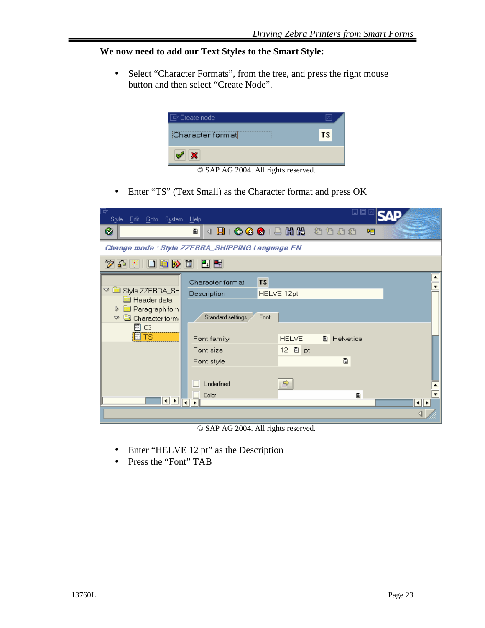#### **We now need to add our Text Styles to the Smart Style:**

• Select "Character Formats", from the tree, and press the right mouse button and then select "Create Node".



© SAP AG 2004. All rights reserved.

• Enter "TS" (Text Small) as the Character format and press OK

| Style Edit Goto System Help                                                                                                |                                                                                                                                          | ⊔                                                                                                                                                                                                                                                                                                                                                                                                                                             |
|----------------------------------------------------------------------------------------------------------------------------|------------------------------------------------------------------------------------------------------------------------------------------|-----------------------------------------------------------------------------------------------------------------------------------------------------------------------------------------------------------------------------------------------------------------------------------------------------------------------------------------------------------------------------------------------------------------------------------------------|
| Ø                                                                                                                          | 圁<br>◁                                                                                                                                   | $\begin{array}{cccccccccccccc} \hline \textbf{B} & \textbf{C} & \textbf{C} & \textbf{C} & \textbf{C} & \textbf{C} & \textbf{C} & \textbf{C} & \textbf{C} & \textbf{C} & \textbf{C} & \textbf{C} & \textbf{C} & \textbf{C} & \textbf{C} & \textbf{C} & \textbf{C} & \textbf{C} & \textbf{C} & \textbf{C} & \textbf{C} & \textbf{C} & \textbf{C} & \textbf{C} & \textbf{C} & \textbf{C} & \textbf{C} & \textbf{C} & \textbf{C} & \textbf{$<br>嗰 |
|                                                                                                                            | Change mode : Style ZZEBRA_SHIPPING Language EN                                                                                          |                                                                                                                                                                                                                                                                                                                                                                                                                                               |
| Y 60                                                                                                                       |                                                                                                                                          |                                                                                                                                                                                                                                                                                                                                                                                                                                               |
| Style ZZEBRA_SH<br>▽<br>Header data<br>Paragraph form<br>D<br>Character form<br>A<br>$\boxtimes$ C3<br><b>E</b> TS<br>HIE. | TS<br>Character format<br>Description<br>Standard settings<br>Font<br>Font family<br>Font size<br>Font style<br>Underlined<br>Color<br>r | HELVE 12pt<br><b>HELVE</b><br>圁<br>Helvetica<br>圖 pt<br>12 <sub>1</sub><br>圁<br>$\Rightarrow$<br>ė<br>$\left\  \cdot \right\ $                                                                                                                                                                                                                                                                                                                |
|                                                                                                                            |                                                                                                                                          |                                                                                                                                                                                                                                                                                                                                                                                                                                               |

© SAP AG 2004. All rights reserved.

- Enter "HELVE 12 pt" as the Description
- Press the "Font" TAB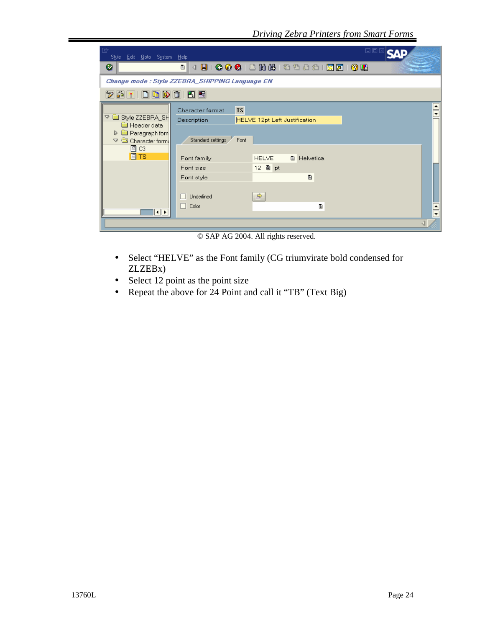| 回<br>Style Edit Goto System Help                                                                                                                      |                                                                                                                                                                                                                                                            | 口回区 |
|-------------------------------------------------------------------------------------------------------------------------------------------------------|------------------------------------------------------------------------------------------------------------------------------------------------------------------------------------------------------------------------------------------------------------|-----|
| ⊗                                                                                                                                                     | 4 B   C G C 1 B H H H 2 D D 2 1 R 21 G H<br>ū                                                                                                                                                                                                              |     |
|                                                                                                                                                       | Change mode : Style ZZEBRA_SHIPPING Language EN                                                                                                                                                                                                            |     |
| $\mathscr{D}$ a $\mathbb{R}$ in the point $\mathbb{R}$ in $\mathbb{R}$                                                                                |                                                                                                                                                                                                                                                            |     |
| ▽ ■ Style ZZEBRA_SH<br><b>Ed</b> Header data<br>Paragraph form<br>$\triangleright$<br>Character form:<br>A<br>$\boxtimes$ C3<br>圖 TS<br>$   \cdot   $ | <b>TS</b><br>Character format<br>Description<br>HELVE 12pt Left Justification<br>Standard settings<br>Font<br><b>HELVE</b><br>画<br>Helvetica<br>Font family<br>Font size<br>圁<br>Font style<br>$\Rightarrow$<br>Underlined<br>Color<br>Ò<br>$\blacksquare$ | 宝   |
|                                                                                                                                                       | $@$ CAD AC 0004 All $\therefore$ Li<br>$\sim$ 1                                                                                                                                                                                                            |     |

© SAP AG 2004. All rights reserved.

- Select "HELVE" as the Font family (CG triumvirate bold condensed for ZLZEBx)
- Select 12 point as the point size
- Repeat the above for 24 Point and call it "TB" (Text Big)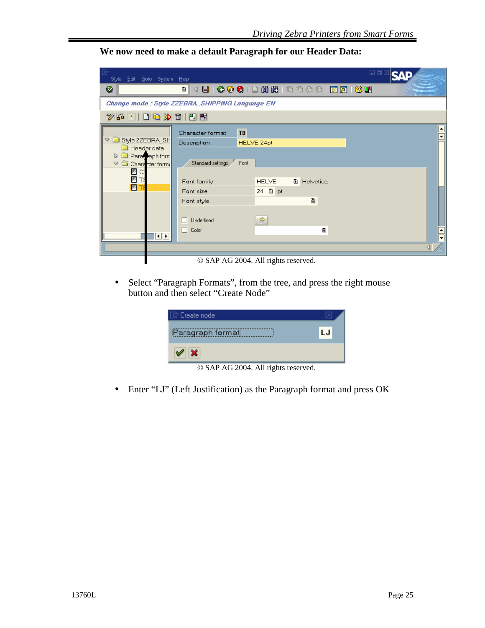**We now need to make a default Paragraph for our Header Data:**

| G<br>Style Edit Goto System Help         | 口回区                                                    |
|------------------------------------------|--------------------------------------------------------|
| Ø                                        | 4 B   C G C I B H H H D O O S   F 2 1 O G<br>圁         |
|                                          | <b>Change mode : Style ZZEBRA_SHIPPING Language EN</b> |
| <b>26</b> * 1                            |                                                        |
| ▽ ■ Style ZZEBRA_SH                      | TB<br>Character format<br>$\bullet$                    |
| Header data<br><b>Parawaph form</b><br>D | Description<br>HELVE 24pt                              |
| Character form:<br>$\triangledown$<br>国口 | Standard settings<br>Font                              |
| 圖圖                                       | Font family<br><b>HELVE</b><br><b>■</b> Helvetica      |
|                                          | 24 图 pt<br>Font size                                   |
|                                          | 圁<br>Font style                                        |
|                                          | $\Rightarrow$<br>Underlined                            |
| $\overline{\mathbf{u}}$                  | П<br>Color<br>ė                                        |
|                                          |                                                        |
|                                          | © SAP AG 2004. All rights reserved.                    |

© SAP AG 2004. All rights reserved.

• Select "Paragraph Formats", from the tree, and press the right mouse button and then select "Create Node"

| $\boxdot$ Create node                |    |
|--------------------------------------|----|
| Paragraph format                     | LJ |
| $\mathscr{S}$ $\mathbb{X}$           |    |
| $\odot$ CAD AC 0004 All $\ddots$ 1.4 |    |

© SAP AG 2004. All rights reserved.

• Enter "LJ" (Left Justification) as the Paragraph format and press OK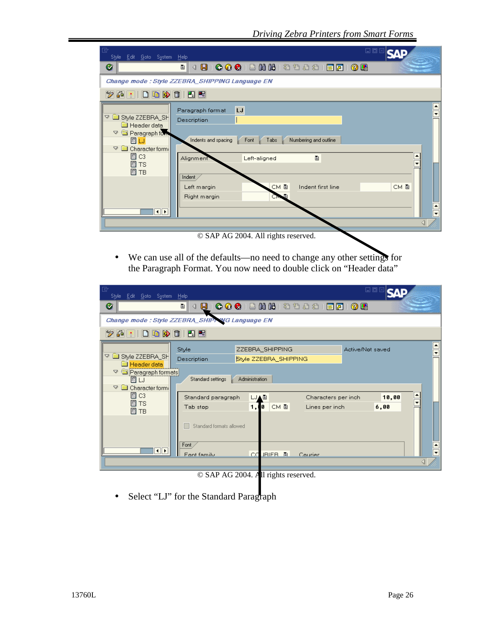| G<br>Style Edit Goto System Help                                                                                                                                           | 口回                                                                                                                                                                                                                    |                                                  |
|----------------------------------------------------------------------------------------------------------------------------------------------------------------------------|-----------------------------------------------------------------------------------------------------------------------------------------------------------------------------------------------------------------------|--------------------------------------------------|
| Ø                                                                                                                                                                          | 90001202120002180108<br>ū<br>◁                                                                                                                                                                                        |                                                  |
|                                                                                                                                                                            | Change mode : Style ZZEBRA_SHIPPING Language EN                                                                                                                                                                       |                                                  |
| 多品 米                                                                                                                                                                       |                                                                                                                                                                                                                       |                                                  |
| ▽ ■ Style ZZEBRA_SH<br>Header data<br>Paragraph form<br>A<br>圖 LJ<br>$\triangledown$ <b>a</b> Character form.<br>$\boxtimes$ C3<br>圆 TS<br>圆 TB<br>$\overline{\mathbf{a}}$ | LJ<br>Paragraph format<br>Description<br>Numbering and outline<br>Indents and spacing<br>Tabs<br>Font<br>圁<br>Alignment<br>Left-aligned<br>Indent<br>CM 图<br>CM 힙<br>Indent first line<br>Left margin<br>Right margin | $\frac{1}{\sqrt{2}}$<br>$\overline{\phantom{0}}$ |
|                                                                                                                                                                            | © SAP AG 2004. All rights reserved.                                                                                                                                                                                   |                                                  |

• We can use all of the defaults—no need to change any other settings for the Paragraph Format. You now need to double click on "Header data"

| 叵<br>Style Edit Goto System Help                                                                                                  |                                                 |                                                            |                                       | 口回               |             |
|-----------------------------------------------------------------------------------------------------------------------------------|-------------------------------------------------|------------------------------------------------------------|---------------------------------------|------------------|-------------|
| Ø                                                                                                                                 | 圁<br>9                                          |                                                            |                                       |                  |             |
| Change mode : Style ZZEBRA_SHIPY WG Language EN                                                                                   |                                                 |                                                            |                                       |                  |             |
| シロー                                                                                                                               |                                                 |                                                            |                                       |                  |             |
| À<br>Style ZZEBRA_SH<br><b>Header data</b><br>$\triangledown$<br>Paragraph formats<br>圆 LJ<br>$\heartsuit$ $\Box$ Character form: | Style<br>Description<br>Standard settings       | ZZEBRA_SHIPPING<br>Style ZZEBRA_SHIPPING<br>Administration |                                       | Active/Not saved |             |
| $\boxtimes$ C3<br>圖 TS<br>图 TB                                                                                                    | Standard paragraph<br>Tab stop                  | LJAL<br>CM L<br>1,1<br>O                                   | Characters per inch<br>Lines per inch | 10,00<br>6,00    | $\triangle$ |
| H⊪⊳                                                                                                                               | Standard formats allowed<br>Font<br>Font family | JRIFR FL<br>C.C                                            | Courier                               |                  |             |
|                                                                                                                                   |                                                 |                                                            |                                       |                  |             |

© SAP AG 2004. All rights reserved.

• Select "LJ" for the Standard Paragraph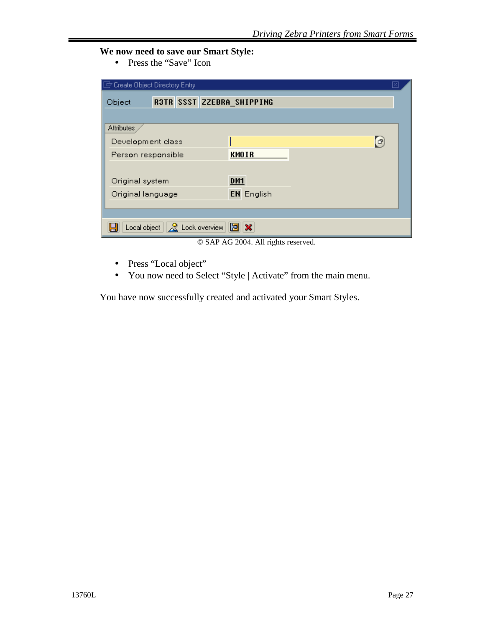#### **We now need to save our Smart Style:**

• Press the "Save" Icon

| Create Object Directory Entry                                   |                                     |  |  |  |  |
|-----------------------------------------------------------------|-------------------------------------|--|--|--|--|
| R3TR SSST ZZEBRA_SHIPPING<br>Object                             |                                     |  |  |  |  |
|                                                                 |                                     |  |  |  |  |
| Attributes                                                      |                                     |  |  |  |  |
| Development class                                               | 日                                   |  |  |  |  |
| Person responsible                                              | <b>KMOIR</b>                        |  |  |  |  |
|                                                                 |                                     |  |  |  |  |
| Original system                                                 | <b>DM1</b>                          |  |  |  |  |
| Original language                                               | <b>EN</b> English                   |  |  |  |  |
|                                                                 |                                     |  |  |  |  |
|                                                                 |                                     |  |  |  |  |
| Local object $\ \mathcal{R}\ $ Lock overview $\ \mathbf{B}\ $ X |                                     |  |  |  |  |
|                                                                 | © SAP AG 2004. All rights reserved. |  |  |  |  |

- Press "Local object"
- You now need to Select "Style | Activate" from the main menu.

You have now successfully created and activated your Smart Styles.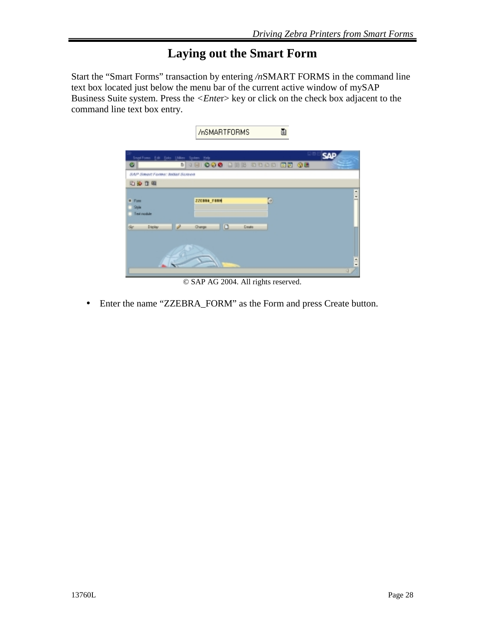### **Laying out the Smart Form**

Start the "Smart Forms" transaction by entering */n*SMART FORMS in the command line text box located just below the menu bar of the current active window of mySAP Business Suite system. Press the *<Ente*r> key or click on the check box adjacent to the command line text box entry.

|                                      | Ò<br>/nSMARTFORMS                                     |            |
|--------------------------------------|-------------------------------------------------------|------------|
| Smart Forms Edit Eldo Litilities     | o<br>System Help                                      | <b>SAP</b> |
| ø<br>SAP Smort Forms: Jobal Screen   | 5<br><b>48 000 DEE STAD</b><br>回回 發展                  |            |
| <b>石沙百里</b>                          |                                                       |            |
| $4.7 \mu m$<br>$-200$<br>Test module | Þ<br><b>ZZEBRA FBRM</b>                               | ۰<br>٠     |
| Set.<br><b>Digitar</b>               | $\Box$<br>$\overline{\phantom{a}}$<br>Dayte<br>Change |            |
|                                      |                                                       | ٠          |

© SAP AG 2004. All rights reserved.

• Enter the name "ZZEBRA\_FORM" as the Form and press Create button.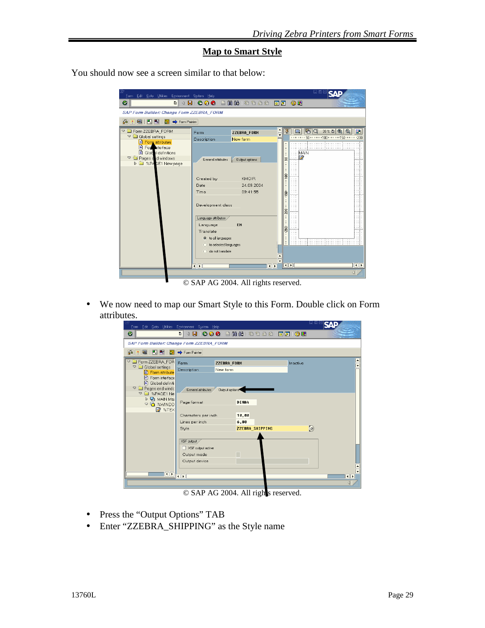#### **Map to Smart Style**

You should now see a screen similar to that below:

| Form Edit Goto Utilities Environment System Help                                                                     |                                                  |                                       |                           |                                           |                        | 니미                       |                                        |
|----------------------------------------------------------------------------------------------------------------------|--------------------------------------------------|---------------------------------------|---------------------------|-------------------------------------------|------------------------|--------------------------|----------------------------------------|
| Ø<br>$\mathbf{B}$ i<br>画<br>$\triangleleft$                                                                          |                                                  | <b>60018680000180106</b>              |                           |                                           |                        |                          |                                        |
| <b>SAP Form Builder: Change Form ZZEBRA_FORM</b>                                                                     |                                                  |                                       |                           |                                           |                        |                          |                                        |
| 国图图图→Form Painter<br>66<br>PK.                                                                                       |                                                  |                                       |                           |                                           |                        |                          |                                        |
| <b>DE Form ZZEBRA_FORM</b>                                                                                           | Form                                             | ZZEBRA FORM                           | $\triangle$<br>₹          | 星                                         | $\Box$                 | $\mathbb{R} \mathbb{Q} $ | $39%$ a $\mathbb{Q}$ $\mathbb{Q}$<br>Ħ |
| $\nabla$ <b>a</b> Global settings                                                                                    | Description                                      | New form                              |                           |                                           |                        |                          |                                        |
| Form attributes<br>For pterface<br>Glob definitions<br>$\nabla$ $\Box$ Pages and windows<br><b>D</b> SPAGE1 New page | General attributes<br>Created by                 | <b>Output options</b><br><b>KMOIR</b> |                           | E<br>S<br>٠<br>٠<br>$\overline{a}$<br>100 | $\cdots$               | .<br>MAIN<br>Ø           |                                        |
|                                                                                                                      | Date                                             | 24.09.2004                            |                           | $\overline{\phantom{a}}$<br>٠             |                        |                          |                                        |
|                                                                                                                      | Time<br>Development class<br>Language attributes | 09:41:55                              |                           | Š<br>Ε<br>200                             |                        |                          |                                        |
|                                                                                                                      |                                                  | EN                                    |                           |                                           |                        |                          |                                        |
|                                                                                                                      | Language<br>Translate                            |                                       |                           | $-250$                                    |                        |                          |                                        |
|                                                                                                                      | to all languages                                 |                                       |                           |                                           |                        |                          |                                        |
|                                                                                                                      | to selected languages                            |                                       |                           |                                           |                        | .<br>.                   |                                        |
|                                                                                                                      | o do not translate                               |                                       |                           |                                           |                        |                          |                                        |
|                                                                                                                      |                                                  |                                       |                           |                                           |                        |                          |                                        |
|                                                                                                                      | $\overline{1}$                                   |                                       | ٠<br>$\overline{\bullet}$ |                                           | $\left  \cdot \right $ |                          | $\overline{\bullet}$                   |
|                                                                                                                      |                                                  |                                       |                           |                                           |                        |                          | $\triangleleft$                        |

© SAP AG 2004. All rights reserved.

• We now need to map our Smart Style to this Form. Double click on Form attributes.

| 19<br>Form Edit Goto Utilities Environment System Help                       |                                                 |                         |                 |            | 口回区<br>SΔ            |
|------------------------------------------------------------------------------|-------------------------------------------------|-------------------------|-----------------|------------|----------------------|
| Ø                                                                            | 4 8 1 0 0 0 1 3 4 5 6 7 8 9 70 8 70 8 70 8<br>面 |                         |                 |            |                      |
| <b>SAP Form Builder: Change Form ZZEBRA_FORM</b>                             |                                                 |                         |                 |            |                      |
| 品米国 日日<br>l <sup>E</sup> z                                                   | Form Painter                                    |                         |                 |            |                      |
| Form ZZEBRA_FOR<br>$\triangledown$<br>$\triangledown$ $\Box$ Global settings | Form<br>Description                             | ZZEBRA FORM<br>New form |                 | Inactive   |                      |
| Form attribute<br>Form interface<br>Global definiti                          |                                                 |                         |                 |            |                      |
| $\nabla$ $\Box$ Pages and windc<br>▽ 2 %PAGE1 Ne                             | General attributes                              | Output options          |                 |            |                      |
| D D MAIN Mai<br><b>▽ □ %WINDO</b>                                            | Page format                                     |                         | DINA4           |            |                      |
| <b>Z</b> %TEX                                                                | Characters per inch                             |                         | 10,00           |            |                      |
|                                                                              | Lines per inch                                  |                         | 6,00            |            |                      |
|                                                                              | Style                                           |                         | ZZEBRA_SHIPPING | $\bigcirc$ |                      |
|                                                                              | XSF output<br>□ XSF output active               |                         |                 |            |                      |
|                                                                              | Output mode<br>Output device                    |                         |                 |            |                      |
| $\overline{\bullet}$                                                         | $\overline{\mathbf{1}}$                         |                         |                 |            | $\overline{\bullet}$ |
|                                                                              |                                                 |                         |                 |            |                      |

© SAP AG 2004. All rights reserved.

- Press the "Output Options" TAB
- Enter "ZZEBRA\_SHIPPING" as the Style name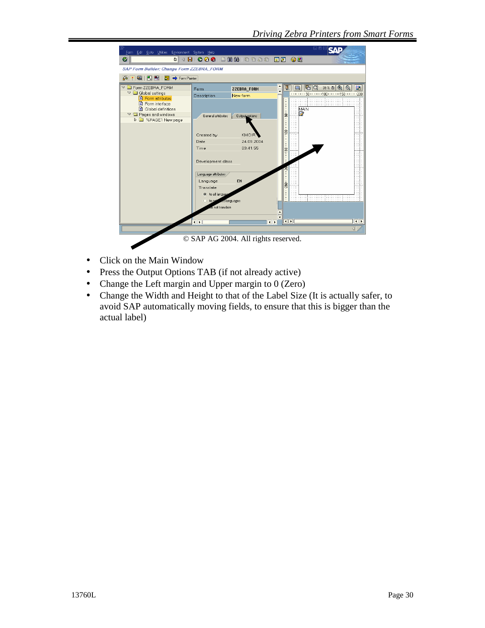

- Click on the Main Window
- Press the Output Options TAB (if not already active)
- Change the Left margin and Upper margin to 0 (Zero)
- Change the Width and Height to that of the Label Size (It is actually safer, to avoid SAP automatically moving fields, to ensure that this is bigger than the actual label)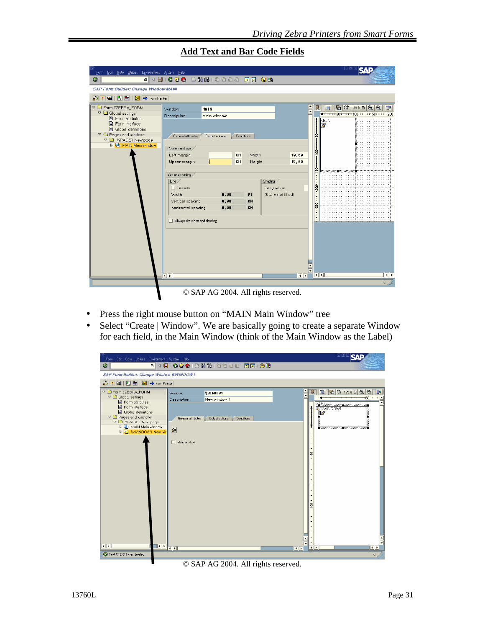| Form Edit Goto Utilities Environment System Help                        |                                      |            |        |                      |                          |                |              | 니包 |                                               |                  |                      |
|-------------------------------------------------------------------------|--------------------------------------|------------|--------|----------------------|--------------------------|----------------|--------------|----|-----------------------------------------------|------------------|----------------------|
| Ø<br>$\blacksquare$                                                     |                                      |            |        |                      |                          |                |              |    |                                               |                  |                      |
| <b>SAP Form Builder: Change Window MAIN</b>                             |                                      |            |        |                      |                          |                |              |    |                                               |                  |                      |
| 国日日<br>B <sub>2</sub> → Form Painter<br>Кà.                             |                                      |            |        |                      |                          |                |              |    |                                               |                  |                      |
| <b>D</b> Form ZZEBRA_FORM                                               | MAIN<br>Window                       |            |        |                      |                          | 星              | ■            | E  | $39 \times 10$ Q Q                            |                  | l ta                 |
| C Global settings<br>■ Form attributes                                  | Main window<br>Description           |            |        |                      |                          |                |              |    | 50 <del>*******</del> 100*******150*******200 |                  |                      |
| Form interface                                                          |                                      |            |        |                      |                          |                | MAIN<br>12   |    |                                               |                  |                      |
| Global definitions                                                      |                                      |            |        |                      |                          |                |              |    |                                               |                  |                      |
| $\triangledown$ $\blacksquare$ Pages and windows<br>▽ ■ %PAGE1 New page | General attributes<br>Output options | Conditions |        |                      |                          | s              |              |    |                                               |                  |                      |
| D D MAIN Main window                                                    |                                      |            |        |                      |                          |                |              |    |                                               |                  |                      |
|                                                                         | Position and size<br>Left margin     | CM         | Width  |                      | 10,00                    | Ş              |              |    |                                               |                  |                      |
|                                                                         | Upper margin                         | CМ         | Height |                      | 15,00                    |                |              |    |                                               |                  |                      |
|                                                                         |                                      |            |        |                      |                          |                |              |    |                                               |                  |                      |
|                                                                         | Box and shading                      |            |        |                      |                          | $-158$         | uuuuuu aaaaa |    |                                               |                  |                      |
|                                                                         | Line /                               |            |        | Shading              |                          |                |              |    |                                               |                  |                      |
|                                                                         | $\Box$ Line with                     |            |        | Gray value           |                          | 200            |              |    |                                               |                  |                      |
|                                                                         | Width                                | 0,00       | PT     | $(0\% = not filled)$ |                          |                |              |    |                                               |                  |                      |
|                                                                         | vertical spacing                     | 0,00       | CM     |                      |                          | $-250$         |              |    |                                               |                  |                      |
|                                                                         | horizontal spacing                   | 0,00       | CM     |                      |                          |                |              |    |                                               |                  |                      |
|                                                                         | Always draw box and shading          |            |        |                      |                          | Ē              |              |    |                                               |                  |                      |
|                                                                         |                                      |            |        |                      |                          |                |              |    |                                               |                  |                      |
|                                                                         |                                      |            |        |                      |                          | $\overline{1}$ |              |    |                                               |                  |                      |
|                                                                         | $\overline{\mathbf{1}}$              |            |        |                      | $\left\  \cdot \right\ $ |                |              |    |                                               |                  | $\overline{\bullet}$ |
|                                                                         |                                      |            |        |                      |                          |                |              |    |                                               | $\left  \right $ |                      |
|                                                                         | © SAP AG 2004. All rights reserved.  |            |        |                      |                          |                |              |    |                                               |                  |                      |

**Add Text and Bar Code Fields**

© SAP AG 2004. All rights reserved.

- Press the right mouse button on "MAIN Main Window" tree
- Select "Create | Window". We are basically going to create a separate Window for each field, in the Main Window (think of the Main Window as the Label)



© SAP AG 2004. All rights reserved.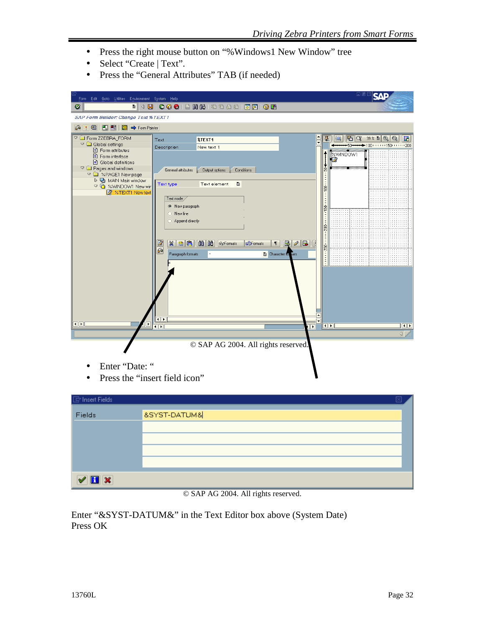- Press the right mouse button on "%Windows1 New Window" tree
- Select "Create | Text".
- Press the "General Attributes" TAB (if needed)

| Form Edit Goto Utilities Environment System Help<br>Ø                                                                                                                                                                                                                                |                                                                                                                                                                                                         |                                                                                                                |                                        |                      |    |                                                                                               | 口固                                                                                                                   |                         |
|--------------------------------------------------------------------------------------------------------------------------------------------------------------------------------------------------------------------------------------------------------------------------------------|---------------------------------------------------------------------------------------------------------------------------------------------------------------------------------------------------------|----------------------------------------------------------------------------------------------------------------|----------------------------------------|----------------------|----|-----------------------------------------------------------------------------------------------|----------------------------------------------------------------------------------------------------------------------|-------------------------|
| <b>SAP Form Builder: Change Text %TEXT1</b>                                                                                                                                                                                                                                          |                                                                                                                                                                                                         |                                                                                                                |                                        |                      |    |                                                                                               |                                                                                                                      |                         |
| 6 米国   日   日   图   → Form Painter                                                                                                                                                                                                                                                    |                                                                                                                                                                                                         |                                                                                                                |                                        |                      |    |                                                                                               |                                                                                                                      |                         |
| ▽ ■ Form ZZEBRA_FORM<br>$\nabla$ $\Box$ Global settings<br><b>B</b> Form attributes<br>Form interface<br>B Global definitions<br>$\triangledown$ $\blacksquare$ Pages and windows<br>▽ ■ %PAGE1 New page<br>D D MAIN Main window<br>▽ □ %WINDOW1 New wir<br><b>Z</b> %TEXT1 New text | Text<br>Description<br>General attributes<br>Text type<br>Text node<br><sup>®</sup> New paragraph<br>$\bigcirc$ New line<br>Append directly<br>$\mathbb{X}$<br>즓<br>Paragraph formats<br>$\blacksquare$ | <b>%TEXT1</b><br>New text 1<br>Output options<br><b>Conditions</b><br>Text element<br>画<br>B 图 图 图 图 69Formats | <b>D</b> Formats<br>Character for nats |                      | l٠ | 星<br>IE.<br>ummu mmmm<br>%WINDOW1<br>annum annum.<br>Š<br>š.<br>$-159$<br>ġ<br>mana 1250 mana | $ \mathbf{F}_1  \mathbf{G}  \propto 39\times 10^{-4}  \mathbf{G}_1   \mathbf{H}_2 $<br>$+100$ (and a 150 cm and 200) |                         |
| $\blacksquare$                                                                                                                                                                                                                                                                       | $\overline{\bullet}$                                                                                                                                                                                    |                                                                                                                |                                        | $\overline{\bullet}$ |    | $\overline{\mathbf{E}}$                                                                       |                                                                                                                      | $\overline{\mathbb{R}}$ |
|                                                                                                                                                                                                                                                                                      |                                                                                                                                                                                                         |                                                                                                                |                                        |                      |    |                                                                                               |                                                                                                                      | ◁                       |
| Enter "Date: "<br>Press the "insert field icon"                                                                                                                                                                                                                                      |                                                                                                                                                                                                         | © SAP AG 2004. All rights reserved.                                                                            |                                        |                      |    |                                                                                               |                                                                                                                      |                         |
| $\bar{\boxdot}$ Insert Fields                                                                                                                                                                                                                                                        |                                                                                                                                                                                                         |                                                                                                                |                                        |                      |    |                                                                                               |                                                                                                                      |                         |

| inser reige  | ادعا                        |
|--------------|-----------------------------|
| Fields       | <b>&amp;SYST-DATUM&amp;</b> |
|              |                             |
|              |                             |
|              |                             |
|              |                             |
| $\sqrt{H}$ x |                             |
|              |                             |

© SAP AG 2004. All rights reserved.

Enter "&SYST-DATUM&" in the Text Editor box above (System Date) Press OK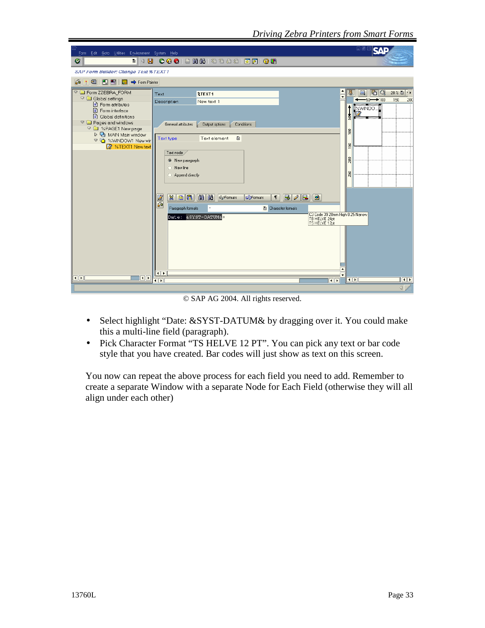| Form Edit Goto Utilities Environment System Help                                                                                                                                                                                                                                                                                                                                                                                                                                                                                                                                                                                                                                                                                                         | 口回区                                                                                                                                                                                                                                             |
|----------------------------------------------------------------------------------------------------------------------------------------------------------------------------------------------------------------------------------------------------------------------------------------------------------------------------------------------------------------------------------------------------------------------------------------------------------------------------------------------------------------------------------------------------------------------------------------------------------------------------------------------------------------------------------------------------------------------------------------------------------|-------------------------------------------------------------------------------------------------------------------------------------------------------------------------------------------------------------------------------------------------|
| <b>00012HH</b> 39931 RAI 90<br>Ø<br>4 H<br>O I                                                                                                                                                                                                                                                                                                                                                                                                                                                                                                                                                                                                                                                                                                           |                                                                                                                                                                                                                                                 |
| <b>SAP Form Builder: Change Text %TEXT1</b>                                                                                                                                                                                                                                                                                                                                                                                                                                                                                                                                                                                                                                                                                                              |                                                                                                                                                                                                                                                 |
| 国间围<br>6 <sup>2</sup><br>Form Painter<br>lš.                                                                                                                                                                                                                                                                                                                                                                                                                                                                                                                                                                                                                                                                                                             |                                                                                                                                                                                                                                                 |
| <b>D</b> Form ZZEBRA FORM<br><b>&amp;TEXT1</b><br>Text<br>$\triangledown$ $\Box$ Global settings<br>Description<br>New text 1<br>Form attributes<br>Form interface<br>Global definitions<br>$\nabla$ $\Box$ Pages and windows<br>General attributes<br>Conditions<br>Output options<br>▽ ■ %PAGE1 New page<br>D D MAIN Main window<br>圁<br>Text element<br>Text type<br>▽ □ %WINDOW1 New wir<br><b>Z</b> %TEXT1 New text<br>Text node<br><sup>®</sup> New paragraph<br>$\bigcirc$ New line<br>Append directly<br><b>THE REAL Seconds</b><br>自唱<br>$B$ / $B$ $\mid$<br>$\blacksquare$<br>$\mathbb{X}$<br><b>DFormats</b><br>$\P$<br>品<br>Paragraph formats<br>Character formats<br>Date: &SYST-DATUM&<br>TB HELVE 24pt<br>TS HELVE 12pt<br>$\blacksquare$ | $\triangle$<br>$ E $ $Q$<br>28% 图     <br>星<br>H ( )   <br>$\overline{\phantom{a}}$<br>$50 - 100$<br>150<br>200<br><b>Extra Communication</b><br><b>Britain Communication</b><br>š<br>ŝ,<br>3<br>200<br>250<br>C3 Code 39 20mm High 0.25 Narrow |
| $\overline{\bullet}$<br>$\overline{\bullet}$<br>$\overline{1}$<br>$\overline{\bullet}$                                                                                                                                                                                                                                                                                                                                                                                                                                                                                                                                                                                                                                                                   | ٠<br><b>III</b><br>$\overline{\bullet}$                                                                                                                                                                                                         |
|                                                                                                                                                                                                                                                                                                                                                                                                                                                                                                                                                                                                                                                                                                                                                          | $\left  \right $                                                                                                                                                                                                                                |

© SAP AG 2004. All rights reserved.

- Select highlight "Date: &SYST-DATUM& by dragging over it. You could make this a multi-line field (paragraph).
- Pick Character Format "TS HELVE 12 PT". You can pick any text or bar code style that you have created. Bar codes will just show as text on this screen.

You now can repeat the above process for each field you need to add. Remember to create a separate Window with a separate Node for Each Field (otherwise they will all align under each other)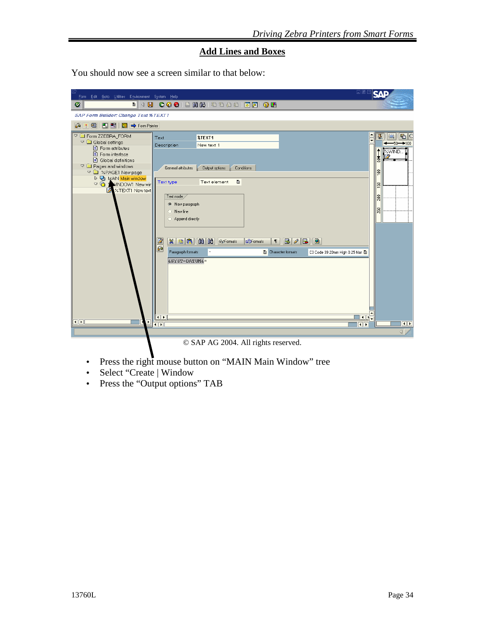#### **Add Lines and Boxes**

You should now see a screen similar to that below:

| Ġ<br>Form Edit Goto Utilities Environment System Help                                                                                                                                                                                                                                 | 口回区                                                                                                                                                                                                                                                                                                                                                                                                                                                                                                                                                                                                          | SΛ                                                                                                                                                                        |
|---------------------------------------------------------------------------------------------------------------------------------------------------------------------------------------------------------------------------------------------------------------------------------------|--------------------------------------------------------------------------------------------------------------------------------------------------------------------------------------------------------------------------------------------------------------------------------------------------------------------------------------------------------------------------------------------------------------------------------------------------------------------------------------------------------------------------------------------------------------------------------------------------------------|---------------------------------------------------------------------------------------------------------------------------------------------------------------------------|
| Ø                                                                                                                                                                                                                                                                                     | 8 4 8 6 4 8 8 8 8 8 8 9 8 8 8 8 8 8 8 8 8                                                                                                                                                                                                                                                                                                                                                                                                                                                                                                                                                                    |                                                                                                                                                                           |
| <b>SAP Form Builder: Change Text %TEXT1</b>                                                                                                                                                                                                                                           |                                                                                                                                                                                                                                                                                                                                                                                                                                                                                                                                                                                                              |                                                                                                                                                                           |
| 6米国图图<br>$\frac{X}{22}$ $\Rightarrow$ Form Painter                                                                                                                                                                                                                                    |                                                                                                                                                                                                                                                                                                                                                                                                                                                                                                                                                                                                              |                                                                                                                                                                           |
| The Form ZZEBRA_FORM<br>C Global settings<br>■ Form attributes<br>■ Form interface<br>Global definitions<br>$\triangledown$ $\blacksquare$ Pages and windows<br>▽ ■ %PAGE1 New page<br>D D MAIN Main window<br>▽ G WINDOW1 New wir<br><b>Z</b> %TEXT1 New text<br>$\blacksquare$<br>٠ | <b>&amp;TEXT1</b><br>Text<br>Description<br>New text 1<br>General attributes<br>Conditions<br>Output options<br>Ū<br>Text type<br>Text element<br>Text node<br><sup>O</sup> New paragraph<br>$\bigcirc$ New line<br>◯ Append directly<br>$\frac{ \mathcal{B}  \mathcal{B}  \mathcal{B} }{ \mathcal{B}  \mathcal{B} }$<br>$\boxed{\circ}$<br>$\frac{Z}{\mathbf{a}}$<br><b>S</b> Formats<br><b>D</b> Formats<br>$B$ / $B$<br>$\P$<br>Paragraph formats<br><b>A</b> Character formats<br>C3 Code 39 20mm High 0.25 Nar 图<br>&SYST-DATUM&*<br><b>ITE.</b><br>$\overline{\mathbf{t}}$<br>$\overline{\bullet}$<br> | ٠<br>星<br>$\mathbb{E} \mathbb{C}$<br>m<br>$\overline{\phantom{a}}$<br>-50-<br>$+100$<br><b>EXWIND</b><br>Banzanak<br>ģ<br>Set<br>50<br>200<br>250<br>$\overline{\bullet}$ |
|                                                                                                                                                                                                                                                                                       |                                                                                                                                                                                                                                                                                                                                                                                                                                                                                                                                                                                                              | $\left  \right $                                                                                                                                                          |
|                                                                                                                                                                                                                                                                                       |                                                                                                                                                                                                                                                                                                                                                                                                                                                                                                                                                                                                              |                                                                                                                                                                           |

© SAP AG 2004. All rights reserved.

- Press the right mouse button on "MAIN Main Window" tree
- Select "Create | Window
- Press the "Output options" TAB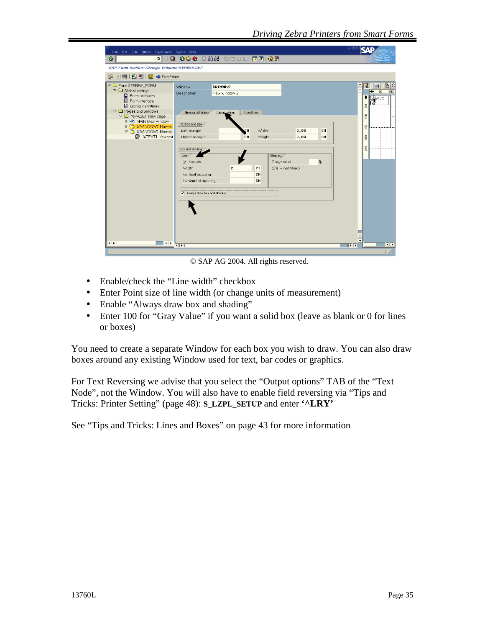| Ø<br>面<br>4 B<br><b>SAP Form Builder: Change Window %WINDOW2</b><br>国 岡 園<br>Form Painter<br>晶米<br>店に<br>The Form ZZEBRA FORM<br>L.J<br>Window<br>%WINDOW2<br>$\heartsuit$ $\Box$ Global settings<br>50<br>100<br>New window 2<br>Description<br>Form attributes<br><b>EXAMPLE</b><br>Form interface<br>■ Global definitions<br>S<br>$\nabla$ $\Box$ Pages and windows<br>General attributes<br>Conditions<br><b>Output options</b><br>$\frac{8}{2}$<br>▽ ■ %PAGE1 New page<br>D D MAIN Main window<br>Position and size<br>D G %WINDOW2 New wir<br>S.<br>Left margin<br>cн<br>Width<br>2,00<br>CM<br>▽ G %WINDOW1 New wir<br>X %TEXT1 New text<br>Upper margin<br>Height<br>2,00<br>CM<br>SØZ<br>CМ<br>250<br>Box and shading<br>Shading<br>Line<br>$\boldsymbol{\mathsf{z}}$<br>$\sqrt{\phantom{a}}$ Line with<br>Gray value<br>PT<br>Width<br>$\overline{2}$<br>$(0\% = not filled)$<br>CM<br>vertical spacing<br>CM<br>horizontal spacing<br>Always draw box and shading<br>$\overline{ \cdot }$<br>$\left  \cdot \right $<br>$\overline{ \cdot }$<br>$\overline{1}$<br>$\overline{\bullet}$ | Form Edit Goto Utilities Environment System Help | 口回                   |
|--------------------------------------------------------------------------------------------------------------------------------------------------------------------------------------------------------------------------------------------------------------------------------------------------------------------------------------------------------------------------------------------------------------------------------------------------------------------------------------------------------------------------------------------------------------------------------------------------------------------------------------------------------------------------------------------------------------------------------------------------------------------------------------------------------------------------------------------------------------------------------------------------------------------------------------------------------------------------------------------------------------------------------------------------------------------------------------------------|--------------------------------------------------|----------------------|
|                                                                                                                                                                                                                                                                                                                                                                                                                                                                                                                                                                                                                                                                                                                                                                                                                                                                                                                                                                                                                                                                                                  |                                                  |                      |
|                                                                                                                                                                                                                                                                                                                                                                                                                                                                                                                                                                                                                                                                                                                                                                                                                                                                                                                                                                                                                                                                                                  |                                                  |                      |
|                                                                                                                                                                                                                                                                                                                                                                                                                                                                                                                                                                                                                                                                                                                                                                                                                                                                                                                                                                                                                                                                                                  |                                                  |                      |
|                                                                                                                                                                                                                                                                                                                                                                                                                                                                                                                                                                                                                                                                                                                                                                                                                                                                                                                                                                                                                                                                                                  |                                                  |                      |
|                                                                                                                                                                                                                                                                                                                                                                                                                                                                                                                                                                                                                                                                                                                                                                                                                                                                                                                                                                                                                                                                                                  |                                                  | $\blacktriangleleft$ |

© SAP AG 2004. All rights reserved.

- Enable/check the "Line width" checkbox
- Enter Point size of line width (or change units of measurement)
- Enable "Always draw box and shading"
- Enter 100 for "Gray Value" if you want a solid box (leave as blank or 0 for lines or boxes)

You need to create a separate Window for each box you wish to draw. You can also draw boxes around any existing Window used for text, bar codes or graphics.

For Text Reversing we advise that you select the "Output options" TAB of the "Text Node", not the Window. You will also have to enable field reversing via "Tips and Tricks: Printer Setting" (page 48): **S\_LZPL\_SETUP** and enter **'^LRY'**

See "Tips and Tricks: Lines and Boxes" on page 43 for more information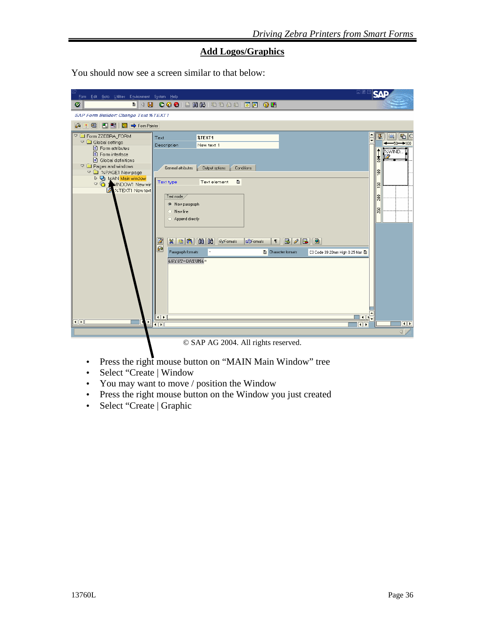#### **Add Logos/Graphics**

You should now see a screen similar to that below:

| 口回区<br>Ġ<br>Form Edit Goto Utilities Environment System Help                                                                                                                                                                                                                                                                                                                                                                                                                                                                                                                                                                                                                                                                                                                                                                                | 94                                                                                                         |
|---------------------------------------------------------------------------------------------------------------------------------------------------------------------------------------------------------------------------------------------------------------------------------------------------------------------------------------------------------------------------------------------------------------------------------------------------------------------------------------------------------------------------------------------------------------------------------------------------------------------------------------------------------------------------------------------------------------------------------------------------------------------------------------------------------------------------------------------|------------------------------------------------------------------------------------------------------------|
| 4 8 6 6 6 8 8 8 8 9 8 8 8 8 8 8 8 8 8 8<br>Ø<br>画                                                                                                                                                                                                                                                                                                                                                                                                                                                                                                                                                                                                                                                                                                                                                                                           |                                                                                                            |
| <b>SAP Form Builder: Change Text %TEXT1</b>                                                                                                                                                                                                                                                                                                                                                                                                                                                                                                                                                                                                                                                                                                                                                                                                 |                                                                                                            |
| 6 米国 日日日 国 → Form Painter                                                                                                                                                                                                                                                                                                                                                                                                                                                                                                                                                                                                                                                                                                                                                                                                                   |                                                                                                            |
| <b>DE Form ZZEBRA_FORM</b><br>$\frac{\bullet}{\bullet}$<br><b>%TEXT1</b><br>Text<br>$\triangledown$ $\Box$ Global settings<br>New text 1<br>Description<br>Form attributes<br>■ Form interface<br>Global definitions<br>$\triangledown$ $\blacksquare$ Pages and windows<br>General attributes<br>Conditions<br>Output options<br>▽ ■ %PAGE1 New page<br>▷ D MAIN Main window<br>Ū<br>Text type<br>Text element<br><b>D MINDOW1 New wir</b><br><b>X</b> %TEXT1 New text<br>Text node<br><sup>®</sup> New paragraph<br>$O$ New line<br>Append directly<br>$\frac{Z}{\mathbf{a}}$<br>$B$ / $B$<br>$\blacksquare$<br><b>DFormats</b><br>$\P$<br>Paragraph formats<br>图 Character formats<br>C3 Code 39 20mm High 0.25 Nar 图<br>&SYST-DATUM&*<br><b>Idr</b><br>$\overline{\bullet}$<br>$\blacksquare$<br>$\overline{1}$<br>$\overline{\bullet}$ | E C<br>星<br>II.<br>50.<br>$+100$<br><b>EXWIND</b><br>ġ<br>Set<br>150<br>200<br>250<br>$\overline{\bullet}$ |
|                                                                                                                                                                                                                                                                                                                                                                                                                                                                                                                                                                                                                                                                                                                                                                                                                                             | $\overline{\mathcal{A}}$                                                                                   |

© SAP AG 2004. All rights reserved.

- Press the right mouse button on "MAIN Main Window" tree
- Select "Create | Window
- You may want to move / position the Window
- Press the right mouse button on the Window you just created
- Select "Create | Graphic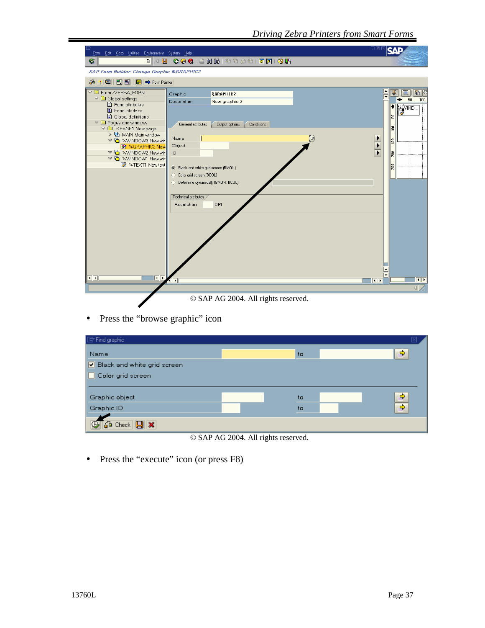| 口回[<br>Form Edit Goto Utilities Environment System Help                                                                                                                                                                                                                                                                                                                                                                                                                                                                                                                                                                                                                                                      | 97                                                                                                               |
|--------------------------------------------------------------------------------------------------------------------------------------------------------------------------------------------------------------------------------------------------------------------------------------------------------------------------------------------------------------------------------------------------------------------------------------------------------------------------------------------------------------------------------------------------------------------------------------------------------------------------------------------------------------------------------------------------------------|------------------------------------------------------------------------------------------------------------------|
| . 4 8 6 6 6 6 6 6 6 7 8 9 8 8 8 8 8 8 8 8 8<br>Ø                                                                                                                                                                                                                                                                                                                                                                                                                                                                                                                                                                                                                                                             |                                                                                                                  |
| <b>SAP Form Builder: Change Graphic %GRAPHIC2</b>                                                                                                                                                                                                                                                                                                                                                                                                                                                                                                                                                                                                                                                            |                                                                                                                  |
| 国   円   日   图   → Form Painter<br>$\mathbf{G}$                                                                                                                                                                                                                                                                                                                                                                                                                                                                                                                                                                                                                                                               |                                                                                                                  |
| The Form ZZEBRA_FORM<br>%GRAPHIC2<br>Graphic<br>$\overline{\phantom{0}}$<br>C Global settings<br>Description<br>New graphic 2<br>Form attributes<br>■ Form interface<br>□ Global definitions<br>$\triangledown$ $\blacksquare$ Pages and windows<br>General attributes<br>Conditions<br>Output options<br>▽ ■ %PAGE1 New page<br>D D MAIN Main window<br>$\bigcirc$<br>Name<br>▽ □ %WINDOW3 New wir<br>Object<br>3 %GRAPHIC2 New<br>▽ □ %WINDOW2 New wir<br>ID<br>▽ □ %WINDOW1 New wir<br>%TEXT1 New text<br>Black and white grid screen (BMON)<br>C Color grid screen (BCOL)<br>◯ Determine dynamically (BMON, BCOL)<br>Technical attributes<br><b>DPI</b><br>Resolution<br>$\overline{\bullet}$<br>  <br>⊪ | E C<br>포<br>圓<br>50<br>100<br><b>SAWIND.</b><br>s<br>혼<br>$\frac{8}{2}$<br>200<br>250<br>$\overline{\mathbf{E}}$ |
| © SAP AG 2004. All rights reserved.                                                                                                                                                                                                                                                                                                                                                                                                                                                                                                                                                                                                                                                                          |                                                                                                                  |

• Press the "browse graphic" icon

| Find graphic                             |    |               |
|------------------------------------------|----|---------------|
| Name                                     | to | ⇨             |
| Black and white grid screen              |    |               |
| Color grid screen                        |    |               |
|                                          |    |               |
| Graphic object                           | to | ⇨             |
| Graphic ID                               | to | $\Rightarrow$ |
|                                          |    |               |
| $\sqrt{2}$ Check $\boxed{9}$ $\boxed{3}$ |    |               |

© SAP AG 2004. All rights reserved.

• Press the "execute" icon (or press F8)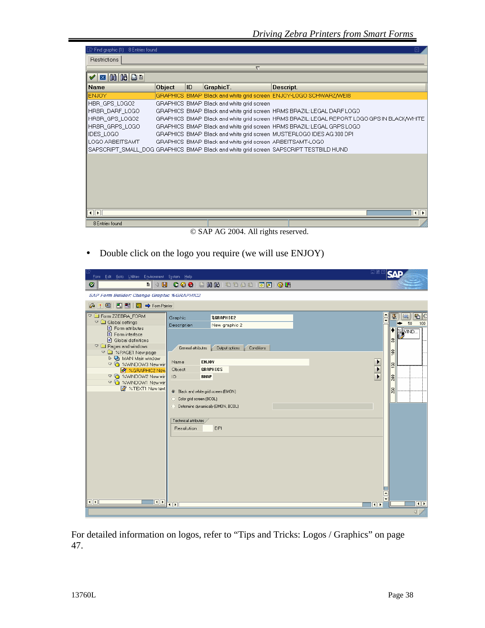| $\overline{\mathbb{F}}$ Find graphic (1) :<br>8 Entries found |        |    |                                                           | 冈                                                                                           |
|---------------------------------------------------------------|--------|----|-----------------------------------------------------------|---------------------------------------------------------------------------------------------|
| Restrictions                                                  |        |    |                                                           |                                                                                             |
|                                                               |        |    | $\overline{\nabla}$                                       |                                                                                             |
| <b>E 6 6 6</b>                                                |        |    |                                                           |                                                                                             |
| <b>Name</b>                                                   | Object | ID | GraphicT.                                                 | Descript.                                                                                   |
| <b>ENJOY</b>                                                  |        |    |                                                           | GRAPHICS BMAP Black and white grid screen ENJOY-LOGO SCHWARZ/WEIB                           |
| HBR GPS LOGO2                                                 |        |    | GRAPHICS BMAP Black and white grid screen                 |                                                                                             |
| HRBR DARF LOGO                                                |        |    |                                                           | GRAPHICS BMAP Black and white grid screen HRMS BRAZIL: LEGAL DARF LOGO                      |
| HRBR GPS LOGO2                                                |        |    |                                                           | GRAPHICS BMAP Black and white grid screen HRMS BRAZIL: LEGAL REPORT LOGO GPS IN BLACK/WHITE |
| HRBR_GRPS_LOGO                                                |        |    |                                                           | GRAPHICS BMAP Black and white grid screen HRMS BRAZIL: LEGAL GRPS LOGO                      |
| <b>IDES LOGO</b>                                              |        |    |                                                           | GRAPHICS BMAP Black and white grid screen MUSTERLOGO IDES AG 300 DPI                        |
| LOGO ARBEITSAMT                                               |        |    | GRAPHICS BMAP Black and white grid screen ARBEITSAMT-LOGO |                                                                                             |
|                                                               |        |    |                                                           | SAPSCRIPT_SMALL_DOG_GRAPHICS_BMAP_Black and white grid screen_SAPSCRIPT TESTBILD HUND       |
|                                                               |        |    |                                                           |                                                                                             |
|                                                               |        |    |                                                           |                                                                                             |
|                                                               |        |    |                                                           |                                                                                             |
|                                                               |        |    |                                                           |                                                                                             |
|                                                               |        |    |                                                           |                                                                                             |
|                                                               |        |    |                                                           |                                                                                             |
|                                                               |        |    |                                                           |                                                                                             |
| $\overline{\mathbf{1}}$                                       |        |    |                                                           | $\overline{\mathbf{H}}$                                                                     |
| 8 Entries found                                               |        |    |                                                           |                                                                                             |
|                                                               |        |    |                                                           |                                                                                             |

© SAP AG 2004. All rights reserved.

• Double click on the logo you require (we will use ENJOY)

| Form Edit Goto Utilities Environment System Help                                                                                                                                                                                                                                                                                                                         | 口回                                                                                                                                                                                                                                                                                                                                                |                                                                                                                                |
|--------------------------------------------------------------------------------------------------------------------------------------------------------------------------------------------------------------------------------------------------------------------------------------------------------------------------------------------------------------------------|---------------------------------------------------------------------------------------------------------------------------------------------------------------------------------------------------------------------------------------------------------------------------------------------------------------------------------------------------|--------------------------------------------------------------------------------------------------------------------------------|
| Ø                                                                                                                                                                                                                                                                                                                                                                        |                                                                                                                                                                                                                                                                                                                                                   |                                                                                                                                |
| <b>SAP Form Builder: Change Graphic %GRAPHIC2</b>                                                                                                                                                                                                                                                                                                                        |                                                                                                                                                                                                                                                                                                                                                   |                                                                                                                                |
| 品味<br>国日日<br>Form Painter<br>Ě,                                                                                                                                                                                                                                                                                                                                          |                                                                                                                                                                                                                                                                                                                                                   |                                                                                                                                |
| <b>DE Form ZZEBRA_FORM</b><br>$\nabla$ <b>Q</b> Global settings<br><b>B</b> Form attributes<br>■ Form interface<br>□ Global definitions<br>$\triangledown$ $\blacksquare$ Pages and windows<br>▽ ■ %PAGE1 New page<br>D D MAIN Main window<br>▽ □ %WINDOW3 New wir<br><b>C</b> %GRAPHIC2 New<br>▽ □ %WINDOW2 New wir<br>▽ □ %WINDOW1 New wir<br><b>X</b> %TEXT1 New text | <b>&amp;GRAPHIC2</b><br>Graphic<br>Description<br>New graphic 2<br>General attributes<br>Output options<br>Conditions<br>ENJ0Y<br>Name<br>Object<br><b>GRAPHICS</b><br><b>BMAP</b><br>ID<br>Black and white grid screen (BMON)<br>C Color grid screen (BCOL)<br>◯ Determine dynamically (BMON, BCOL)<br>Technical attributes<br>DPI<br>Resolution | E C<br>$\triangle$<br>EI<br>星<br>⊋<br>50<br>100<br><b>SAVIND.</b><br>S<br>581<br>150<br>200<br>250<br>$\overline{\phantom{a}}$ |
| $\overline{\bullet}$<br>$\bullet$                                                                                                                                                                                                                                                                                                                                        | $\overline{\bullet}$<br>$\left\  \cdot \right\ $                                                                                                                                                                                                                                                                                                  | $\overline{\bullet}$                                                                                                           |
|                                                                                                                                                                                                                                                                                                                                                                          |                                                                                                                                                                                                                                                                                                                                                   | $\overline{ }$                                                                                                                 |

For detailed information on logos, refer to "Tips and Tricks: Logos / Graphics" on page 47.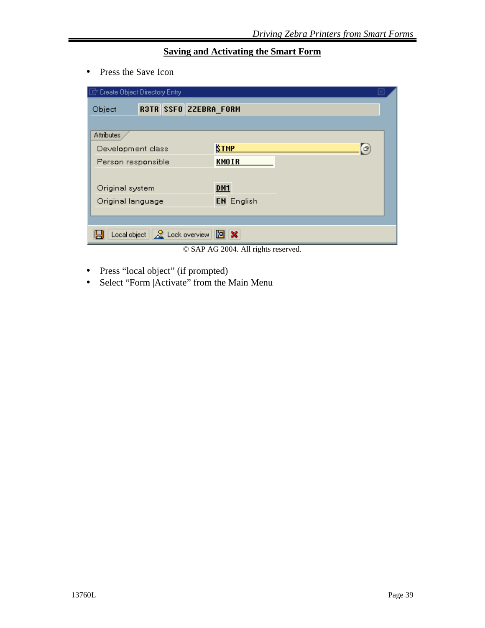#### **Saving and Activating the Smart Form**

• Press the Save Icon

| Create Object Directory Entry                                   |                   |
|-----------------------------------------------------------------|-------------------|
| R3TR SSFO ZZEBRA FORM<br>Object                                 |                   |
|                                                                 |                   |
| Attributes                                                      |                   |
| Development class                                               | <b>STMP</b><br>G  |
| Person responsible                                              | <b>KMOIR</b>      |
|                                                                 |                   |
| Original system                                                 | DM <sub>1</sub>   |
| Original language                                               | <b>EN</b> English |
|                                                                 |                   |
| Local object $\ \mathcal{Q}\ $ Lock overview $\ \mathbf{E}\ $ X |                   |

© SAP AG 2004. All rights reserved.

- Press "local object" (if prompted)
- Select "Form | Activate" from the Main Menu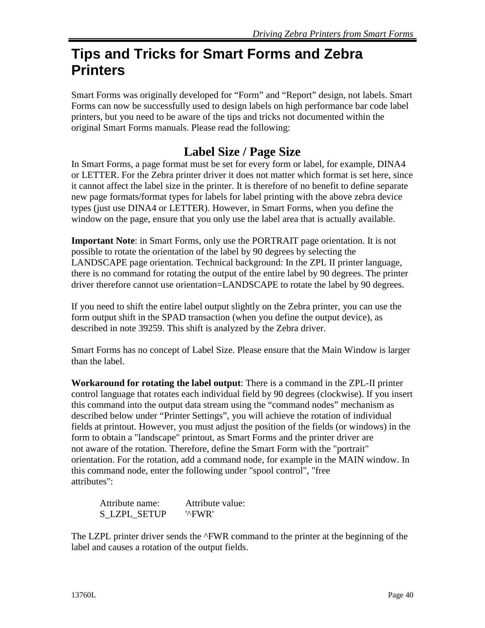# **Tips and Tricks for Smart Forms and Zebra Printers**

Smart Forms was originally developed for "Form" and "Report" design, not labels. Smart Forms can now be successfully used to design labels on high performance bar code label printers, but you need to be aware of the tips and tricks not documented within the original Smart Forms manuals. Please read the following:

### **Label Size / Page Size**

In Smart Forms, a page format must be set for every form or label, for example, DINA4 or LETTER. For the Zebra printer driver it does not matter which format is set here, since it cannot affect the label size in the printer. It is therefore of no benefit to define separate new page formats/format types for labels for label printing with the above zebra device types (just use DINA4 or LETTER). However, in Smart Forms, when you define the window on the page, ensure that you only use the label area that is actually available.

**Important Note**: in Smart Forms, only use the PORTRAIT page orientation. It is not possible to rotate the orientation of the label by 90 degrees by selecting the LANDSCAPE page orientation. Technical background: In the ZPL II printer language, there is no command for rotating the output of the entire label by 90 degrees. The printer driver therefore cannot use orientation=LANDSCAPE to rotate the label by 90 degrees.

If you need to shift the entire label output slightly on the Zebra printer, you can use the form output shift in the SPAD transaction (when you define the output device), as described in note 39259. This shift is analyzed by the Zebra driver.

Smart Forms has no concept of Label Size. Please ensure that the Main Window is larger than the label.

**Workaround for rotating the label output**: There is a command in the ZPL-II printer control language that rotates each individual field by 90 degrees (clockwise). If you insert this command into the output data stream using the "command nodes" mechanism as described below under "Printer Settings", you will achieve the rotation of individual fields at printout. However, you must adjust the position of the fields (or windows) in the form to obtain a "landscape" printout, as Smart Forms and the printer driver are not aware of the rotation. Therefore, define the Smart Form with the "portrait" orientation. For the rotation, add a command node, for example in the MAIN window. In this command node, enter the following under "spool control", "free attributes":

Attribute name: Attribute value: S\_LZPL\_SETUP '^FWR'

The LZPL printer driver sends the  $\Delta$ FWR command to the printer at the beginning of the label and causes a rotation of the output fields.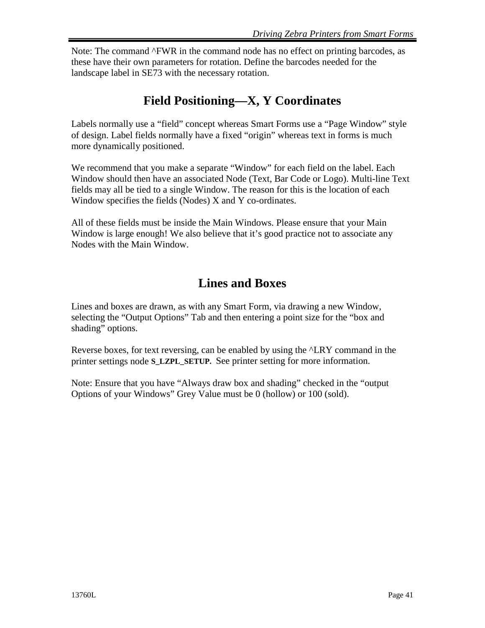Note: The command ^FWR in the command node has no effect on printing barcodes, as these have their own parameters for rotation. Define the barcodes needed for the landscape label in SE73 with the necessary rotation.

### **Field Positioning—X, Y Coordinates**

Labels normally use a "field" concept whereas Smart Forms use a "Page Window" style of design. Label fields normally have a fixed "origin" whereas text in forms is much more dynamically positioned.

We recommend that you make a separate "Window" for each field on the label. Each Window should then have an associated Node (Text, Bar Code or Logo). Multi-line Text fields may all be tied to a single Window. The reason for this is the location of each Window specifies the fields (Nodes) X and Y co-ordinates.

All of these fields must be inside the Main Windows. Please ensure that your Main Window is large enough! We also believe that it's good practice not to associate any Nodes with the Main Window.

### **Lines and Boxes**

Lines and boxes are drawn, as with any Smart Form, via drawing a new Window, selecting the "Output Options" Tab and then entering a point size for the "box and shading" options.

Reverse boxes, for text reversing, can be enabled by using the ^LRY command in the printer settings node **S\_LZPL\_SETUP.** See printer setting for more information.

Note: Ensure that you have "Always draw box and shading" checked in the "output Options of your Windows" Grey Value must be 0 (hollow) or 100 (sold).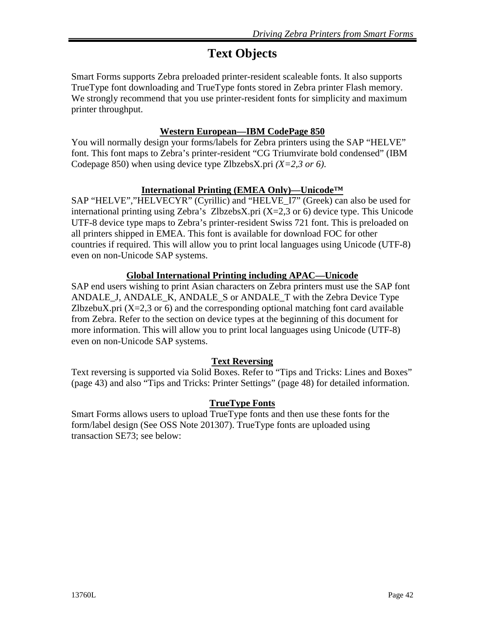## **Text Objects**

Smart Forms supports Zebra preloaded printer-resident scaleable fonts. It also supports TrueType font downloading and TrueType fonts stored in Zebra printer Flash memory. We strongly recommend that you use printer-resident fonts for simplicity and maximum printer throughput.

#### **Western European—IBM CodePage 850**

You will normally design your forms/labels for Zebra printers using the SAP "HELVE" font. This font maps to Zebra's printer-resident "CG Triumvirate bold condensed" (IBM Codepage 850) when using device type ZlbzebsX.pri *(X=2,3 or 6)*.

#### **International Printing (EMEA Only)—Unicode™**

SAP "HELVE","HELVECYR" (Cyrillic) and "HELVE\_I7" (Greek) can also be used for international printing using Zebra's ZlbzebsX.pri (X=2,3 or 6) device type. This Unicode UTF-8 device type maps to Zebra's printer-resident Swiss 721 font. This is preloaded on all printers shipped in EMEA. This font is available for download FOC for other countries if required. This will allow you to print local languages using Unicode (UTF-8) even on non-Unicode SAP systems.

#### **Global International Printing including APAC—Unicode**

SAP end users wishing to print Asian characters on Zebra printers must use the SAP font ANDALE\_J, ANDALE\_K, ANDALE\_S or ANDALE\_T with the Zebra Device Type ZlbzebuX.pri  $(X=2,3 \text{ or } 6)$  and the corresponding optional matching font card available from Zebra. Refer to the section on device types at the beginning of this document for more information. This will allow you to print local languages using Unicode (UTF-8) even on non-Unicode SAP systems.

#### **Text Reversing**

Text reversing is supported via Solid Boxes. Refer to "Tips and Tricks: Lines and Boxes" (page 43) and also "Tips and Tricks: Printer Settings" (page 48) for detailed information.

#### **TrueType Fonts**

Smart Forms allows users to upload TrueType fonts and then use these fonts for the form/label design (See OSS Note 201307). TrueType fonts are uploaded using transaction SE73; see below: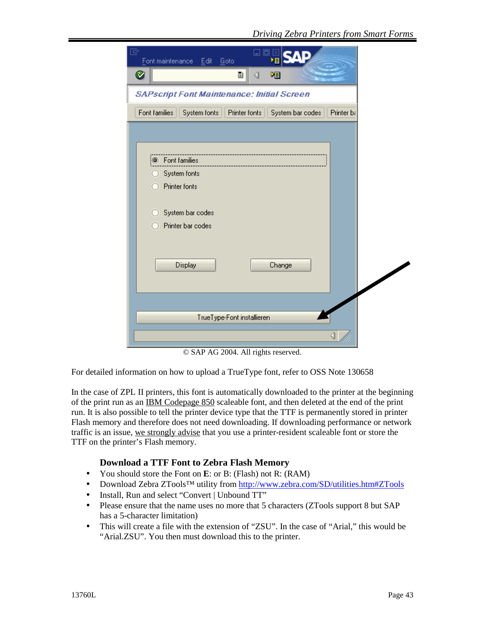| ⊡<br>Font maintenance Edit<br><b>Goto</b>                                        |  |
|----------------------------------------------------------------------------------|--|
| Ø<br>ū<br>嗰<br>◁                                                                 |  |
| <b>SAPscript Font Maintenance: Initial Screen</b>                                |  |
| Font families<br>Printer fonts<br>System fonts<br>System bar codes<br>Printer ba |  |
|                                                                                  |  |
| <b>B</b> Font families                                                           |  |
| System fonts                                                                     |  |
| Printer fonts                                                                    |  |
| System bar codes                                                                 |  |
| Printer bar codes                                                                |  |
|                                                                                  |  |
| <b>Display</b><br>Change                                                         |  |
|                                                                                  |  |
|                                                                                  |  |
| TrueType-Font installieren                                                       |  |
|                                                                                  |  |

© SAP AG 2004. All rights reserved.

For detailed information on how to upload a TrueType font, refer to OSS Note 130658

In the case of ZPL II printers, this font is automatically downloaded to the printer at the beginning of the print run as an IBM Codepage 850 scaleable font, and then deleted at the end of the print run. It is also possible to tell the printer device type that the TTF is permanently stored in printer Flash memory and therefore does not need downloading. If downloading performance or network traffic is an issue, we strongly advise that you use a printer-resident scaleable font or store the TTF on the printer's Flash memory.

#### **Download a TTF Font to Zebra Flash Memory**

- You should store the Font on **E**: or B: (Flash) not R: (RAM)
- Download Zebra ZTools™ utility from http://www.zebra.com/SD/utilities.htm#ZTools
- Install, Run and select "Convert | Unbound TT"
- Please ensure that the name uses no more that 5 characters (ZTools support 8 but SAP has a 5-character limitation)
- This will create a file with the extension of "ZSU". In the case of "Arial," this would be "Arial.ZSU". You then must download this to the printer.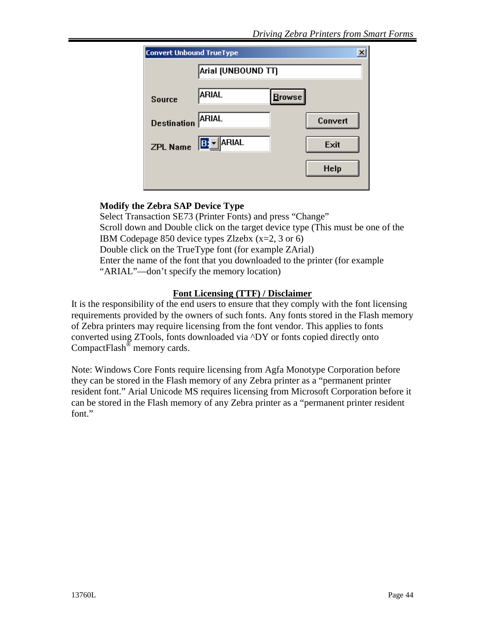| <b>Convert Unbound TrueType</b> |                    |           | ×           |
|---------------------------------|--------------------|-----------|-------------|
|                                 | Arial (UNBOUND TT) |           |             |
| <b>Source</b>                   | ARIAL              | $B$ rowse |             |
| <b>Destination</b>              | ARIAL              |           | Convert     |
|                                 | ZPL Name B: VARIAL |           | Exit        |
|                                 |                    |           | <b>Help</b> |
|                                 |                    |           |             |

#### **Modify the Zebra SAP Device Type**

Select Transaction SE73 (Printer Fonts) and press "Change" Scroll down and Double click on the target device type (This must be one of the IBM Codepage 850 device types Zlzebx (x=2, 3 or 6) Double click on the TrueType font (for example ZArial) Enter the name of the font that you downloaded to the printer (for example "ARIAL"—don't specify the memory location)

#### **Font Licensing (TTF) / Disclaimer**

It is the responsibility of the end users to ensure that they comply with the font licensing requirements provided by the owners of such fonts. Any fonts stored in the Flash memory of Zebra printers may require licensing from the font vendor. This applies to fonts converted using ZTools, fonts downloaded via ^DY or fonts copied directly onto CompactFlash<sup>®</sup> memory cards.

Note: Windows Core Fonts require licensing from Agfa Monotype Corporation before they can be stored in the Flash memory of any Zebra printer as a "permanent printer resident font." Arial Unicode MS requires licensing from Microsoft Corporation before it can be stored in the Flash memory of any Zebra printer as a "permanent printer resident font."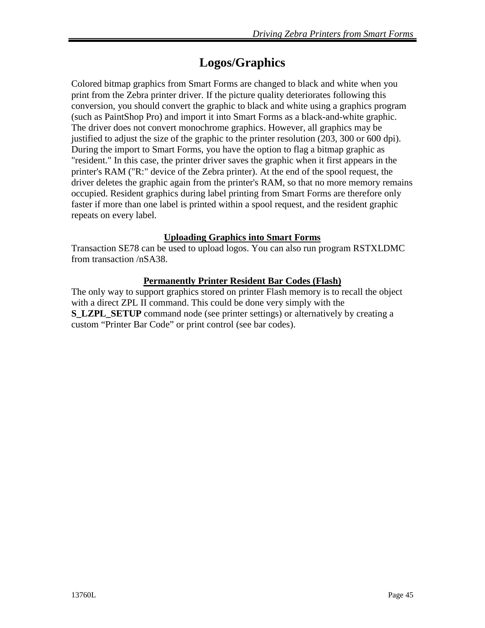### **Logos/Graphics**

Colored bitmap graphics from Smart Forms are changed to black and white when you print from the Zebra printer driver. If the picture quality deteriorates following this conversion, you should convert the graphic to black and white using a graphics program (such as PaintShop Pro) and import it into Smart Forms as a black-and-white graphic. The driver does not convert monochrome graphics. However, all graphics may be justified to adjust the size of the graphic to the printer resolution (203, 300 or 600 dpi). During the import to Smart Forms, you have the option to flag a bitmap graphic as "resident." In this case, the printer driver saves the graphic when it first appears in the printer's RAM ("R:" device of the Zebra printer). At the end of the spool request, the driver deletes the graphic again from the printer's RAM, so that no more memory remains occupied. Resident graphics during label printing from Smart Forms are therefore only faster if more than one label is printed within a spool request, and the resident graphic repeats on every label.

#### **Uploading Graphics into Smart Forms**

Transaction SE78 can be used to upload logos. You can also run program RSTXLDMC from transaction /nSA38.

#### **Permanently Printer Resident Bar Codes (Flash)**

The only way to support graphics stored on printer Flash memory is to recall the object with a direct ZPL II command. This could be done very simply with the **S\_LZPL\_SETUP** command node (see printer settings) or alternatively by creating a custom "Printer Bar Code" or print control (see bar codes).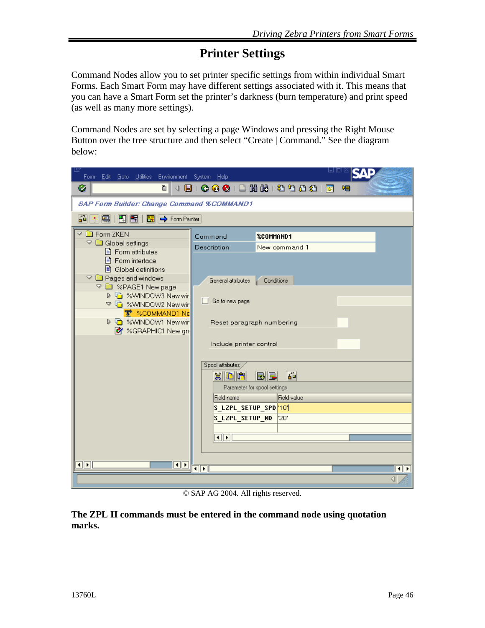### **Printer Settings**

Command Nodes allow you to set printer specific settings from within individual Smart Forms. Each Smart Form may have different settings associated with it. This means that you can have a Smart Form set the printer's darkness (burn temperature) and print speed (as well as many more settings).

Command Nodes are set by selecting a page Windows and pressing the Right Mouse Button over the tree structure and then select "Create | Command." See the diagram below:

| lg<br>Form Edit Goto Utilities                                 | Environment System Help          |                              | uox                       |
|----------------------------------------------------------------|----------------------------------|------------------------------|---------------------------|
| ⊗<br>$\mathbf{B}$<br>ū<br>◁                                    |                                  | COCIBHH890021 <b>R</b>       | 咽                         |
| <b>SAP Form Builder: Change Command %COMMAND1</b>              |                                  |                              |                           |
| 64<br>国<br>HD FI<br>$\frac{K}{22}$ $\Rightarrow$ Form Painter  |                                  |                              |                           |
| $\heartsuit$ $\Box$ Form ZKEN<br>▽ ■ Global settings           | Command                          | <b>%COMMAND1</b>             |                           |
| <b>B</b> Form attributes                                       | Description                      | New command 1                |                           |
| 目 Form interface<br>■ Global definitions                       |                                  |                              |                           |
| <sup>o</sup> all Pages and windows<br>▽ ■ %PAGE1 New page      | General attributes               | Conditions                   |                           |
| ▷ □ %WINDOW3 New wir<br>▽ □ %WINDOW2 New wir                   | Go to new page                   |                              |                           |
| 室 %COMMAND1 Ne                                                 |                                  |                              |                           |
| ▷ □ %WINDOW1 New wir<br><b>html</b> %GRAPHIC1 New gra          | Reset paragraph numbering        |                              |                           |
|                                                                | Include printer control          |                              |                           |
|                                                                |                                  |                              |                           |
|                                                                | Spool attributes<br>$x$ or $x$   | 겳<br>BIE                     |                           |
|                                                                |                                  | Parameter for spool settings |                           |
|                                                                | Field name                       | <b>Field value</b>           |                           |
|                                                                | S_LZPL_SETUP_SPD <sup> </sup> 10 |                              |                           |
|                                                                | S_LZPL_SETUP_MD                  | '20'                         |                           |
|                                                                | $\blacksquare$                   |                              |                           |
|                                                                |                                  |                              |                           |
| $\overline{1}$ $\overline{2}$ $\overline{1}$<br>$\blacksquare$ |                                  |                              |                           |
|                                                                | $\blacktriangleleft$<br>٠        |                              | $\overline{\bullet}$<br>◁ |
|                                                                |                                  |                              |                           |

© SAP AG 2004. All rights reserved.

**The ZPL II commands must be entered in the command node using quotation marks.**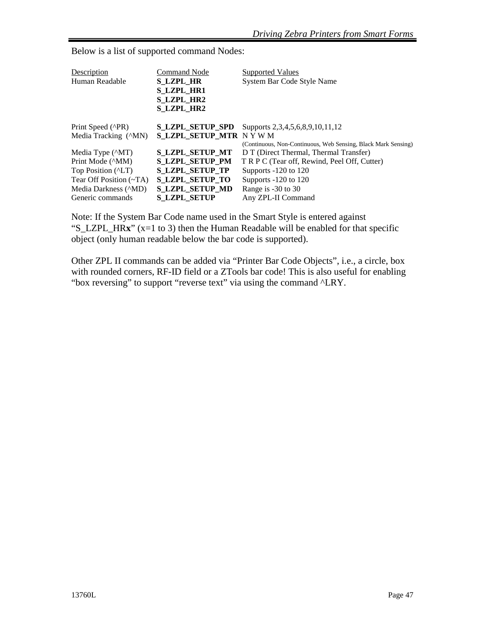| Description                                          | <b>Command Node</b>     | <b>Supported Values</b>                                       |
|------------------------------------------------------|-------------------------|---------------------------------------------------------------|
| Human Readable                                       | <b>S LZPL HR</b>        | System Bar Code Style Name                                    |
|                                                      | <b>S LZPL HR1</b>       |                                                               |
|                                                      | <b>S LZPL HR2</b>       |                                                               |
|                                                      | <b>S LZPL HR2</b>       |                                                               |
| Print Speed (^PR)                                    | <b>S LZPL SETUP SPD</b> | Supports 2, 3, 4, 5, 6, 8, 9, 10, 11, 12                      |
| Media Tracking ( <sup><math>\text{MM}</math></sup> ) | S_LZPL_SETUP_MTR NYWM   |                                                               |
|                                                      |                         | (Continuous, Non-Continuous, Web Sensing, Black Mark Sensing) |
| Media Type ( <sup><math>\wedge</math>MT)</sup>       | <b>S_LZPL_SETUP_MT</b>  | D T (Direct Thermal, Thermal Transfer)                        |
| Print Mode ( <sup><math>\land</math></sup> MM)       | <b>S LZPL SETUP PM</b>  | T R P C (Tear off, Rewind, Peel Off, Cutter)                  |
| Top Position ( <sup><math>\triangle</math></sup> LT) | S LZPL SETUP TP         | Supports -120 to 120                                          |
| Tear Off Position $(-TA)$                            | <b>S LZPL SETUP TO</b>  | Supports -120 to 120                                          |
| Media Darkness ( <i>ND</i> )                         | <b>S LZPL SETUP MD</b>  | Range is -30 to 30                                            |
| Generic commands                                     | <b>S LZPL SETUP</b>     | Any ZPL-II Command                                            |
|                                                      |                         |                                                               |

Below is a list of supported command Nodes:

Note: If the System Bar Code name used in the Smart Style is entered against "S\_LZPL\_HR**x**" (x=1 to 3) then the Human Readable will be enabled for that specific object (only human readable below the bar code is supported).

Other ZPL II commands can be added via "Printer Bar Code Objects", i.e., a circle, box with rounded corners, RF-ID field or a ZTools bar code! This is also useful for enabling "box reversing" to support "reverse text" via using the command  $"LRY$ .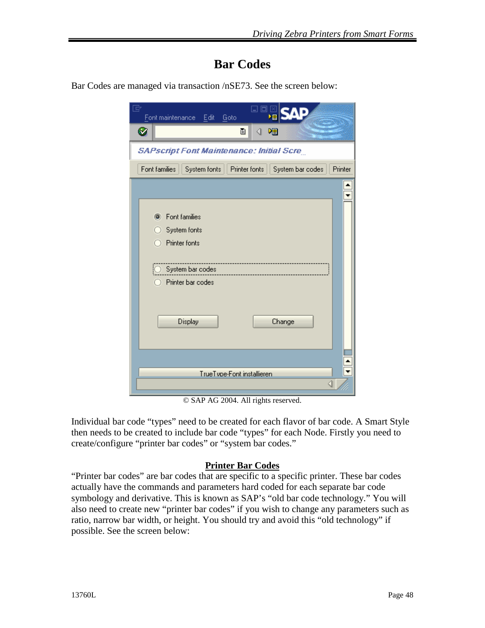### **Bar Codes**

Bar Codes are managed via transaction /nSE73. See the screen below:

| ▣<br>Font maintenance<br>Edit<br>Goto                              |         |
|--------------------------------------------------------------------|---------|
| Ø<br>ū<br>◁<br>啯                                                   |         |
| <b>SAPscript Font Maintenance: Initial Scre</b>                    |         |
| Font families<br>Printer fonts<br>System fonts<br>System bar codes | Printer |
|                                                                    |         |
| Font families<br>System fonts<br>Printer fonts                     |         |
| System bar codes                                                   |         |
| Printer bar codes                                                  |         |
| Display<br>Change                                                  |         |
| TrueTvpe-Font installieren<br>⊲                                    |         |

© SAP AG 2004. All rights reserved.

Individual bar code "types" need to be created for each flavor of bar code. A Smart Style then needs to be created to include bar code "types" for each Node. Firstly you need to create/configure "printer bar codes" or "system bar codes."

#### **Printer Bar Codes**

"Printer bar codes" are bar codes that are specific to a specific printer. These bar codes actually have the commands and parameters hard coded for each separate bar code symbology and derivative. This is known as SAP's "old bar code technology." You will also need to create new "printer bar codes" if you wish to change any parameters such as ratio, narrow bar width, or height. You should try and avoid this "old technology" if possible. See the screen below: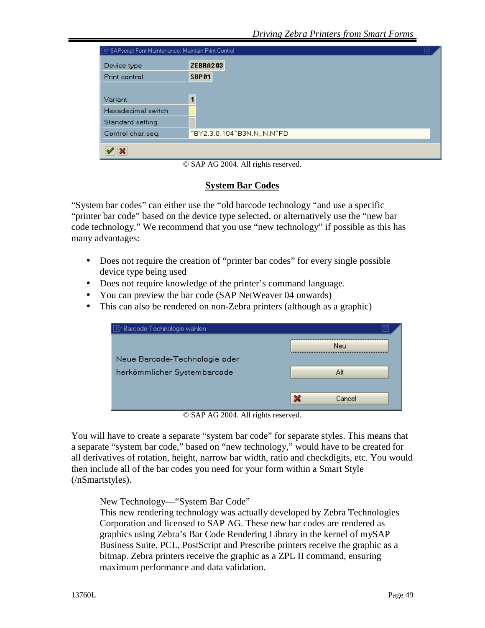| Device type        | <b>ZEBRA203</b>            |
|--------------------|----------------------------|
| Print control      | SBP <sub>01</sub>          |
|                    |                            |
| Variant            | $\overline{1}$             |
| Hexadecimal switch |                            |
| Standard setting   |                            |
| Control char.seq.  | ^BY2,3.0,104^B3N,N,,N,N^FD |

© SAP AG 2004. All rights reserved.

#### **System Bar Codes**

"System bar codes" can either use the "old barcode technology "and use a specific "printer bar code" based on the device type selected, or alternatively use the "new bar code technology." We recommend that you use "new technology" if possible as this has many advantages:

- Does not require the creation of "printer bar codes" for every single possible device type being used
- Does not require knowledge of the printer's command language.
- You can preview the bar code (SAP NetWeaver 04 onwards)
- This can also be rendered on non-Zebra printers (although as a graphic)

| <b>Neu</b>  |
|-------------|
|             |
| Alt         |
|             |
| ×<br>Cancel |
|             |

© SAP AG 2004. All rights reserved.

You will have to create a separate "system bar code" for separate styles. This means that a separate "system bar code," based on "new technology," would have to be created for all derivatives of rotation, height, narrow bar width, ratio and checkdigits, etc. You would then include all of the bar codes you need for your form within a Smart Style (/nSmartstyles).

New Technology—"System Bar Code"

This new rendering technology was actually developed by Zebra Technologies Corporation and licensed to SAP AG. These new bar codes are rendered as graphics using Zebra's Bar Code Rendering Library in the kernel of mySAP Business Suite. PCL, PostScript and Prescribe printers receive the graphic as a bitmap. Zebra printers receive the graphic as a ZPL II command, ensuring maximum performance and data validation.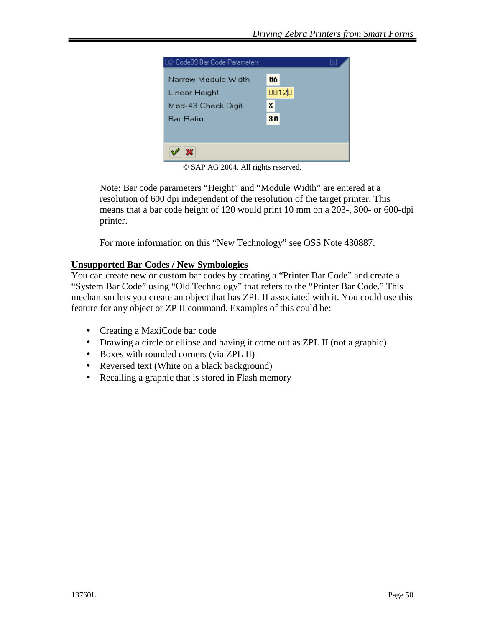

© SAP AG 2004. All rights reserved.

Note: Bar code parameters "Height" and "Module Width" are entered at a resolution of 600 dpi independent of the resolution of the target printer. This means that a bar code height of 120 would print 10 mm on a 203-, 300- or 600-dpi printer.

For more information on this "New Technology" see OSS Note 430887.

#### **Unsupported Bar Codes / New Symbologies**

You can create new or custom bar codes by creating a "Printer Bar Code" and create a "System Bar Code" using "Old Technology" that refers to the "Printer Bar Code." This mechanism lets you create an object that has ZPL II associated with it. You could use this feature for any object or ZP II command. Examples of this could be:

- Creating a MaxiCode bar code
- Drawing a circle or ellipse and having it come out as ZPL II (not a graphic)
- Boxes with rounded corners (via ZPL II)
- Reversed text (White on a black background)
- Recalling a graphic that is stored in Flash memory